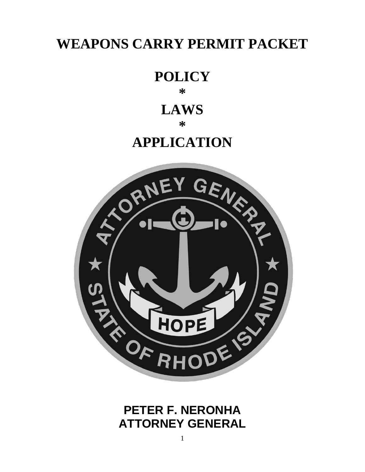# **WEAPONS CARRY PERMIT PACKET**

# **POLICY \***

# **LAWS**

## **\***

# **APPLICATION**



# **PETER F. NERONHA ATTORNEY GENERAL**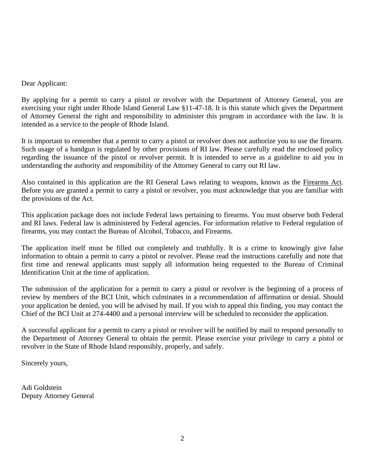#### Dear Applicant:

By applying for a permit to carry a pistol or revolver with the Department of Attorney General, you are exercising your right under Rhode Island General Law §11-47-18. It is this statute which gives the Department of Attorney General the right and responsibility to administer this program in accordance with the law. It is intended as a service to the people of Rhode Island.

It is important to remember that a permit to carry a pistol or revolver does not authorize you to use the firearm. Such usage of a handgun is regulated by other provisions of RI law. Please carefully read the enclosed policy regarding the issuance of the pistol or revolver permit. It is intended to serve as a guideline to aid you in understanding the authority and responsibility of the Attorney General to carry out RI law.

Also contained in this application are the RI General Laws relating to weapons, known as the Firearms Act. Before you are granted a permit to carry a pistol or revolver, you must acknowledge that you are familiar with the provisions of the Act.

This application package does not include Federal laws pertaining to firearms. You must observe both Federal and RI laws. Federal law is administered by Federal agencies. For information relative to Federal regulation of firearms, you may contact the Bureau of Alcohol, Tobacco, and Firearms.

The application itself must be filled out completely and truthfully. It is a crime to knowingly give false information to obtain a permit to carry a pistol or revolver. Please read the instructions carefully and note that first time and renewal applicants must supply all information being requested to the Bureau of Criminal Identification Unit at the time of application.

The submission of the application for a permit to carry a pistol or revolver is the beginning of a process of review by members of the BCI Unit, which culminates in a recommendation of affirmation or denial. Should your application be denied, you will be advised by mail. If you wish to appeal this finding, you may contact the Chief of the BCI Unit at 274-4400 and a personal interview will be scheduled to reconsider the application.

A successful applicant for a permit to carry a pistol or revolver will be notified by mail to respond personally to the Department of Attorney General to obtain the permit. Please exercise your privilege to carry a pistol or revolver in the State of Rhode Island responsibly, properly, and safely.

Sincerely yours,

Adi Goldstein Deputy Attorney General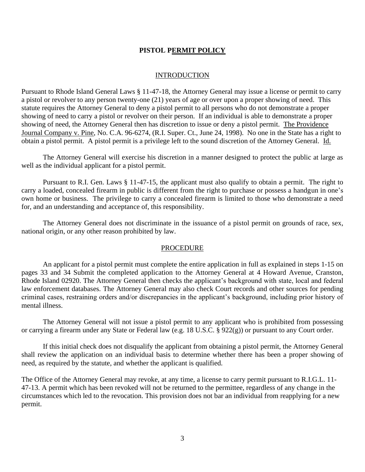#### **PISTOL PERMIT POLICY**

#### **INTRODUCTION**

Pursuant to Rhode Island General Laws § 11-47-18, the Attorney General may issue a license or permit to carry a pistol or revolver to any person twenty-one (21) years of age or over upon a proper showing of need. This statute requires the Attorney General to deny a pistol permit to all persons who do not demonstrate a proper showing of need to carry a pistol or revolver on their person. If an individual is able to demonstrate a proper showing of need, the Attorney General then has discretion to issue or deny a pistol permit. The Providence Journal Company v. Pine, No. C.A. 96-6274, (R.I. Super. Ct., June 24, 1998). No one in the State has a right to obtain a pistol permit. A pistol permit is a privilege left to the sound discretion of the Attorney General. Id.

The Attorney General will exercise his discretion in a manner designed to protect the public at large as well as the individual applicant for a pistol permit.

Pursuant to R.I. Gen. Laws § 11-47-15, the applicant must also qualify to obtain a permit. The right to carry a loaded, concealed firearm in public is different from the right to purchase or possess a handgun in one's own home or business. The privilege to carry a concealed firearm is limited to those who demonstrate a need for, and an understanding and acceptance of, this responsibility.

The Attorney General does not discriminate in the issuance of a pistol permit on grounds of race, sex, national origin, or any other reason prohibited by law.

#### PROCEDURE

An applicant for a pistol permit must complete the entire application in full as explained in steps 1-15 on pages 33 and 34 Submit the completed application to the Attorney General at 4 Howard Avenue, Cranston, Rhode Island 02920. The Attorney General then checks the applicant's background with state, local and federal law enforcement databases. The Attorney General may also check Court records and other sources for pending criminal cases, restraining orders and/or discrepancies in the applicant's background, including prior history of mental illness.

The Attorney General will not issue a pistol permit to any applicant who is prohibited from possessing or carrying a firearm under any State or Federal law (e.g. 18 U.S.C. § 922(g)) or pursuant to any Court order.

If this initial check does not disqualify the applicant from obtaining a pistol permit, the Attorney General shall review the application on an individual basis to determine whether there has been a proper showing of need, as required by the statute, and whether the applicant is qualified.

The Office of the Attorney General may revoke, at any time, a license to carry permit pursuant to R.I.G.L. 11- 47-13. A permit which has been revoked will not be returned to the permittee, regardless of any change in the circumstances which led to the revocation. This provision does not bar an individual from reapplying for a new permit.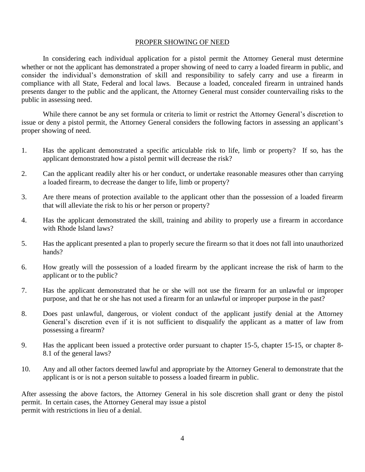#### PROPER SHOWING OF NEED

In considering each individual application for a pistol permit the Attorney General must determine whether or not the applicant has demonstrated a proper showing of need to carry a loaded firearm in public, and consider the individual's demonstration of skill and responsibility to safely carry and use a firearm in compliance with all State, Federal and local laws. Because a loaded, concealed firearm in untrained hands presents danger to the public and the applicant, the Attorney General must consider countervailing risks to the public in assessing need.

While there cannot be any set formula or criteria to limit or restrict the Attorney General's discretion to issue or deny a pistol permit, the Attorney General considers the following factors in assessing an applicant's proper showing of need.

- 1. Has the applicant demonstrated a specific articulable risk to life, limb or property? If so, has the applicant demonstrated how a pistol permit will decrease the risk?
- 2. Can the applicant readily alter his or her conduct, or undertake reasonable measures other than carrying a loaded firearm, to decrease the danger to life, limb or property?
- 3. Are there means of protection available to the applicant other than the possession of a loaded firearm that will alleviate the risk to his or her person or property?
- 4. Has the applicant demonstrated the skill, training and ability to properly use a firearm in accordance with Rhode Island laws?
- 5. Has the applicant presented a plan to properly secure the firearm so that it does not fall into unauthorized hands?
- 6. How greatly will the possession of a loaded firearm by the applicant increase the risk of harm to the applicant or to the public?
- 7. Has the applicant demonstrated that he or she will not use the firearm for an unlawful or improper purpose, and that he or she has not used a firearm for an unlawful or improper purpose in the past?
- 8. Does past unlawful, dangerous, or violent conduct of the applicant justify denial at the Attorney General's discretion even if it is not sufficient to disqualify the applicant as a matter of law from possessing a firearm?
- 9. Has the applicant been issued a protective order pursuant to chapter 15-5, chapter 15-15, or chapter 8- 8.1 of the general laws?
- 10. Any and all other factors deemed lawful and appropriate by the Attorney General to demonstrate that the applicant is or is not a person suitable to possess a loaded firearm in public.

After assessing the above factors, the Attorney General in his sole discretion shall grant or deny the pistol permit. In certain cases, the Attorney General may issue a pistol permit with restrictions in lieu of a denial.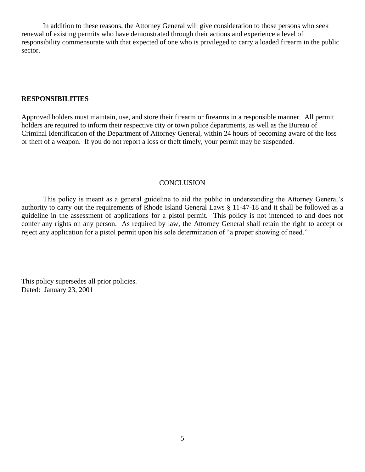In addition to these reasons, the Attorney General will give consideration to those persons who seek renewal of existing permits who have demonstrated through their actions and experience a level of responsibility commensurate with that expected of one who is privileged to carry a loaded firearm in the public sector.

#### **RESPONSIBILITIES**

Approved holders must maintain, use, and store their firearm or firearms in a responsible manner. All permit holders are required to inform their respective city or town police departments, as well as the Bureau of Criminal Identification of the Department of Attorney General, within 24 hours of becoming aware of the loss or theft of a weapon. If you do not report a loss or theft timely, your permit may be suspended.

#### **CONCLUSION**

This policy is meant as a general guideline to aid the public in understanding the Attorney General's authority to carry out the requirements of Rhode Island General Laws § 11-47-18 and it shall be followed as a guideline in the assessment of applications for a pistol permit. This policy is not intended to and does not confer any rights on any person. As required by law, the Attorney General shall retain the right to accept or reject any application for a pistol permit upon his sole determination of "a proper showing of need."

This policy supersedes all prior policies. Dated: January 23, 2001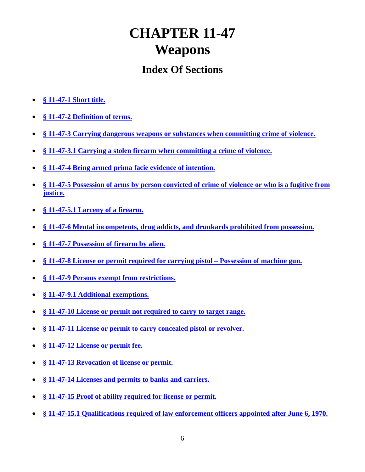# **CHAPTER 11-47 Weapons**

# **Index Of Sections**

- **[§ 11-47-1 Short title.](../../../Documents%20and%20Settings/Sperlongano/Pistol%20Permit%20Packet/S00001.HTM)**
- **[§ 11-47-2 Definition of terms.](../../../Documents%20and%20Settings/Sperlongano/Pistol%20Permit%20Packet/S00002.HTM)**
- **[§ 11-47-3 Carrying dangerous weapons or substances when committing crime of violence.](../../../Documents%20and%20Settings/Sperlongano/Pistol%20Permit%20Packet/S00003.HTM)**
- **[§ 11-47-3.1 Carrying a stolen firearm when committing a crime](../../../Documents%20and%20Settings/Sperlongano/Pistol%20Permit%20Packet/S00004.HTM) of violence.**
- **[§ 11-47-4 Being armed prima facie evidence of intention.](../../../Documents%20and%20Settings/Sperlongano/Pistol%20Permit%20Packet/S00005.HTM)**
- **[§ 11-47-5 Possession of arms by person convicted of crime of violence or who is a fugitive from](../../../Documents%20and%20Settings/Sperlongano/Pistol%20Permit%20Packet/S00006.HTM)  [justice.](../../../Documents%20and%20Settings/Sperlongano/Pistol%20Permit%20Packet/S00006.HTM)**
- **[§ 11-47-5.1 Larceny of a firearm.](../../../Documents%20and%20Settings/Sperlongano/Pistol%20Permit%20Packet/S00007.HTM)**
- **[§ 11-47-6 Mental incompetents, drug addicts, and drunkards prohibited from possession.](../../../Documents%20and%20Settings/Sperlongano/Pistol%20Permit%20Packet/S00008.HTM)**
- **§ [11-47-7 Possession of firearm by alien.](../../../Documents%20and%20Settings/Sperlongano/Pistol%20Permit%20Packet/S00009.HTM)**
- **[§ 11-47-8 License or permit required for carrying pistol –](../../../Documents%20and%20Settings/Sperlongano/Pistol%20Permit%20Packet/S00010.HTM) Possession of machine gun.**
- **[§ 11-47-9 Persons exempt from restrictions.](../../../Documents%20and%20Settings/Sperlongano/Pistol%20Permit%20Packet/S00011.HTM)**
- **[§ 11-47-9.1 Additional exemptions.](../../../Documents%20and%20Settings/Sperlongano/Pistol%20Permit%20Packet/S00012.HTM)**
- **§ 11-47-10 License or [permit not required to carry to target range.](../../../Documents%20and%20Settings/Sperlongano/Pistol%20Permit%20Packet/S00013.HTM)**
- **[§ 11-47-11 License or permit to carry concealed pistol or revolver.](../../../Documents%20and%20Settings/Sperlongano/Pistol%20Permit%20Packet/S00014.HTM)**
- **§ 11-47-12 [License or permit fee.](../../../Documents%20and%20Settings/Sperlongano/Pistol%20Permit%20Packet/S00015.HTM)**
- **[§ 11-47-13 Revocation of license or permit.](../../../Documents%20and%20Settings/Sperlongano/Pistol%20Permit%20Packet/S00016.HTM)**
- **[§ 11-47-14 Licenses and permits to banks and carriers.](../../../Documents%20and%20Settings/Sperlongano/Pistol%20Permit%20Packet/S00017.HTM)**
- **[§ 11-47-15 Proof of ability required for license or](../../../Documents%20and%20Settings/Sperlongano/Pistol%20Permit%20Packet/S00018.HTM) permit.**
- **[§ 11-47-15.1 Qualifications required of law enforcement officers appointed after June 6, 1970.](../../../Documents%20and%20Settings/Sperlongano/Pistol%20Permit%20Packet/S00019.HTM)**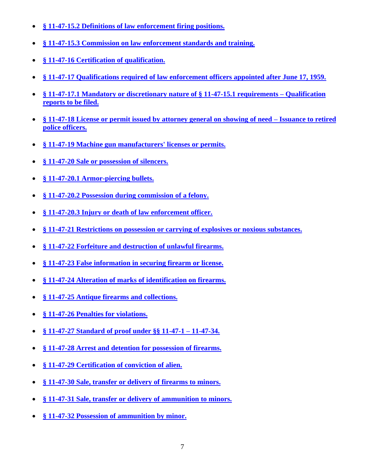- **[§ 11-47-15.2 Definitions of law enforcement firing positions.](../../../Documents%20and%20Settings/Sperlongano/Pistol%20Permit%20Packet/S00020.HTM)**
- **§ 11-47-15.3 [Commission on law enforcement standards and training.](../../../Documents%20and%20Settings/Sperlongano/Pistol%20Permit%20Packet/S00021.HTM)**
- **[§ 11-47-16 Certification of qualification.](../../../Documents%20and%20Settings/Sperlongano/Pistol%20Permit%20Packet/S00022.HTM)**
- **[§ 11-47-17 Qualifications required of law enforcement officers appointed after June 17, 1959.](../../../Documents%20and%20Settings/Sperlongano/Pistol%20Permit%20Packet/S00023.HTM)**
- **[§ 11-47-17.1 Mandatory or discretionary nature of § 11-47-15.1 requirements –](../../../Documents%20and%20Settings/Sperlongano/Pistol%20Permit%20Packet/S00024.HTM) Qualification [reports to be filed.](../../../Documents%20and%20Settings/Sperlongano/Pistol%20Permit%20Packet/S00024.HTM)**
- **§ 11-47-18 License [or permit issued by attorney general on showing of need –](../../../Documents%20and%20Settings/Sperlongano/Pistol%20Permit%20Packet/S00025.HTM) Issuance to retired police [officers.](../../../Documents%20and%20Settings/Sperlongano/Pistol%20Permit%20Packet/S00025.HTM)**
- **[§ 11-47-19 Machine gun manufacturers' licenses or permits.](../../../Documents%20and%20Settings/Sperlongano/Pistol%20Permit%20Packet/S00026.HTM)**
- **[§ 11-47-20 Sale or possession of silencers.](../../../Documents%20and%20Settings/Sperlongano/Pistol%20Permit%20Packet/S00027.HTM)**
- **[§ 11-47-20.1 Armor-piercing bullets.](../../../Documents%20and%20Settings/Sperlongano/Pistol%20Permit%20Packet/S00028.HTM)**
- **§ [11-47-20.2 Possession during commission of a felony.](../../../Documents%20and%20Settings/Sperlongano/Pistol%20Permit%20Packet/S00029.HTM)**
- **§ [11-47-20.3 Injury or death of law enforcement officer.](../../../Documents%20and%20Settings/Sperlongano/Pistol%20Permit%20Packet/S00030.HTM)**
- **[§ 11-47-21 Restrictions on possession or carrying of explosives or noxious substances.](../../../Documents%20and%20Settings/Sperlongano/Pistol%20Permit%20Packet/S00031.HTM)**
- **[§ 11-47-22 Forfeiture and destruction of unlawful firearms.](../../../Documents%20and%20Settings/Sperlongano/Pistol%20Permit%20Packet/S00032.HTM)**
- **[§ 11-47-23 False information in securing firearm](../../../Documents%20and%20Settings/Sperlongano/Pistol%20Permit%20Packet/S00033.HTM) or license.**
- **[§ 11-47-24 Alteration of marks of identification](../../../Documents%20and%20Settings/Sperlongano/Pistol%20Permit%20Packet/S00034.HTM) on firearms.**
- **§ 11-47-25 [Antique firearms and collections.](../../../Documents%20and%20Settings/Sperlongano/Pistol%20Permit%20Packet/S00035.HTM)**
- **[§ 11-47-26 Penalties for violations.](../../../Documents%20and%20Settings/Sperlongano/Pistol%20Permit%20Packet/S00036.HTM)**
- **[§ 11-47-27 Standard of proof under §§ 11-47-1 –](../../../Documents%20and%20Settings/Sperlongano/Pistol%20Permit%20Packet/S00037.HTM) 11-47-34.**
- **[§ 11-47-28 Arrest and detention for possession of firearms.](../../../Documents%20and%20Settings/Sperlongano/Pistol%20Permit%20Packet/S00038.HTM)**
- **[§ 11-47-29 Certification of conviction of alien.](../../../Documents%20and%20Settings/Sperlongano/Pistol%20Permit%20Packet/S00039.HTM)**
- **[§ 11-47-30 Sale, transfer or delivery of firearms to minors.](../../../Documents%20and%20Settings/Sperlongano/Pistol%20Permit%20Packet/S00040.HTM)**
- **§ [11-47-31 Sale, transfer or delivery of ammunition to minors.](../../../Documents%20and%20Settings/Sperlongano/Pistol%20Permit%20Packet/S00041.HTM)**
- **§ [11-47-32 Possession of ammunition by minor.](../../../Documents%20and%20Settings/Sperlongano/Pistol%20Permit%20Packet/S00042.HTM)**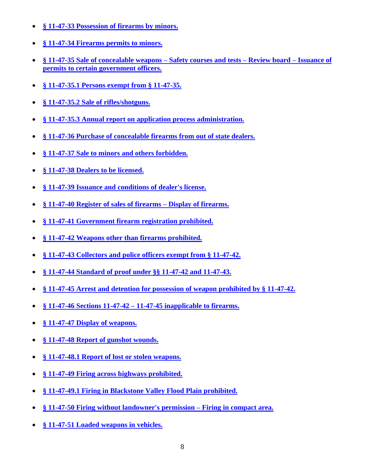- **[§ 11-47-33 Possession of firearms by minors.](../../../Documents%20and%20Settings/Sperlongano/Pistol%20Permit%20Packet/S00043.HTM)**
- **[§ 11-47-34 Firearms](../../../Documents%20and%20Settings/Sperlongano/Pistol%20Permit%20Packet/S00044.HTM) permits to minors.**
- **§ [11-47-35 Sale of concealable weapons –](../../../Documents%20and%20Settings/Sperlongano/Pistol%20Permit%20Packet/S00045.HTM) Safety courses and tests – Review board – Issuance of [permits to certain government officers.](../../../Documents%20and%20Settings/Sperlongano/Pistol%20Permit%20Packet/S00045.HTM)**
- **[§ 11-47-35.1 Persons exempt from § 11-47-35.](../../../Documents%20and%20Settings/Sperlongano/Pistol%20Permit%20Packet/S00046.HTM)**
- **[§ 11-47-35.2 Sale of rifles/shotguns.](../../../Documents%20and%20Settings/Sperlongano/Pistol%20Permit%20Packet/S00047.HTM)**
- **[§ 11-47-35.3 Annual report on application process administration.](../../../Documents%20and%20Settings/Sperlongano/Pistol%20Permit%20Packet/S00048.HTM)**
- **[§ 11-47-36 Purchase of concealable firearms from out of state dealers.](../../../Documents%20and%20Settings/Sperlongano/Pistol%20Permit%20Packet/S00049.HTM)**
- **[§ 11-47-37 Sale to minors and others forbidden.](../../../Documents%20and%20Settings/Sperlongano/Pistol%20Permit%20Packet/S00050.HTM)**
- **[§ 11-47-38 Dealers to be licensed.](../../../Documents%20and%20Settings/Sperlongano/Pistol%20Permit%20Packet/S00051.HTM)**
- **[§ 11-47-39 Issuance and conditions of dealer's license.](../../../Documents%20and%20Settings/Sperlongano/Pistol%20Permit%20Packet/S00052.HTM)**
- **§ 11-47-40 Register of sales of firearms – [Display of firearms.](../../../Documents%20and%20Settings/Sperlongano/Pistol%20Permit%20Packet/S00053.HTM)**
- **[§ 11-47-41 Government firearm registration prohibited.](../../../Documents%20and%20Settings/Sperlongano/Pistol%20Permit%20Packet/S00054.HTM)**
- **[§ 11-47-42 Weapons other than firearms prohibited.](../../../Documents%20and%20Settings/Sperlongano/Pistol%20Permit%20Packet/S00055.HTM)**
- **§ 11-47-43 Collectors [and police officers exempt from § 11-47-42.](../../../Documents%20and%20Settings/Sperlongano/Pistol%20Permit%20Packet/S00056.HTM)**
- **§ [11-47-44 Standard of proof under §§ 11-47-42 and 11-47-43.](../../../Documents%20and%20Settings/Sperlongano/Pistol%20Permit%20Packet/S00057.HTM)**
- **[§ 11-47-45 Arrest and detention for possession of weapon prohibited by § 11-47-42.](../../../Documents%20and%20Settings/Sperlongano/Pistol%20Permit%20Packet/S00058.HTM)**
- **§ 11-47-46 Sections 11-47-42 – [11-47-45 inapplicable to firearms.](../../../Documents%20and%20Settings/Sperlongano/Pistol%20Permit%20Packet/S00059.HTM)**
- **[§ 11-47-47 Display of weapons.](../../../Documents%20and%20Settings/Sperlongano/Pistol%20Permit%20Packet/S00060.HTM)**
- **[§ 11-47-48 Report of gunshot wounds.](../../../Documents%20and%20Settings/Sperlongano/Pistol%20Permit%20Packet/S00061.HTM)**
- **[§ 11-47-48.1 Report of](../../../Documents%20and%20Settings/Sperlongano/Pistol%20Permit%20Packet/S00062.HTM) lost or stolen weapons.**
- **[§ 11-47-49 Firing across highways prohibited.](../../../Documents%20and%20Settings/Sperlongano/Pistol%20Permit%20Packet/S00063.HTM)**
- **[§ 11-47-49.1 Firing in Blackstone Valley Flood Plain prohibited.](../../../Documents%20and%20Settings/Sperlongano/Pistol%20Permit%20Packet/S00064.HTM)**
- **[§ 11-47-50 Firing without landowner's permission –](../../../Documents%20and%20Settings/Sperlongano/Pistol%20Permit%20Packet/S00065.HTM) Firing in compact area.**
- **§ 11-47-51 [Loaded weapons in vehicles.](../../../Documents%20and%20Settings/Sperlongano/Pistol%20Permit%20Packet/S00066.HTM)**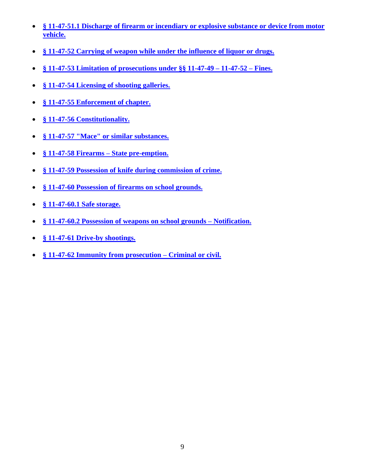- **[§ 11-47-51.1 Discharge of firearm or incendiary or explosive substance or device from motor](../../../Documents%20and%20Settings/Sperlongano/Pistol%20Permit%20Packet/S00067.HTM)  [vehicle.](../../../Documents%20and%20Settings/Sperlongano/Pistol%20Permit%20Packet/S00067.HTM)**
- **§ 11-47-52 [Carrying of weapon while under the influence of liquor or drugs.](../../../Documents%20and%20Settings/Sperlongano/Pistol%20Permit%20Packet/S00068.HTM)**
- **[§ 11-47-53 Limitation of prosecutions under §§ 11-47-49 –](../../../Documents%20and%20Settings/Sperlongano/Pistol%20Permit%20Packet/S00069.HTM) 11-47-52 – Fines.**
- **[§ 11-47-54 Licensing of shooting galleries.](../../../Documents%20and%20Settings/Sperlongano/Pistol%20Permit%20Packet/S00070.HTM)**
- **[§ 11-47-55 Enforcement](../../../Documents%20and%20Settings/Sperlongano/Pistol%20Permit%20Packet/S00071.HTM) of chapter.**
- **[§ 11-47-56 Constitutionality.](../../../Documents%20and%20Settings/Sperlongano/Pistol%20Permit%20Packet/S00072.HTM)**
- **[§ 11-47-57 "Mace" or similar substances.](../../../Documents%20and%20Settings/Sperlongano/Pistol%20Permit%20Packet/S00073.HTM)**
- **[§ 11-47-58 Firearms –](../../../Documents%20and%20Settings/Sperlongano/Pistol%20Permit%20Packet/S00074.HTM) State pre-emption.**
- **[§ 11-47-59 Possession of knife during commission of crime.](../../../Documents%20and%20Settings/Sperlongano/Pistol%20Permit%20Packet/S00075.HTM)**
- **[§ 11-47-60 Possession of firearms on school grounds.](../../../Documents%20and%20Settings/Sperlongano/Pistol%20Permit%20Packet/S00076.HTM)**
- **[§ 11-47-60.1 Safe storage.](../../../Documents%20and%20Settings/Sperlongano/Pistol%20Permit%20Packet/S00077.HTM)**
- **§ 11-47-60.2 Possession of [weapons on school grounds –](../../../Documents%20and%20Settings/Sperlongano/Pistol%20Permit%20Packet/S00078.HTM) Notification.**
- **[§ 11-47-61 Drive-by shootings.](../../../Documents%20and%20Settings/Sperlongano/Pistol%20Permit%20Packet/S00079.HTM)**
- **[§ 11-47-62 Immunity from prosecution –](../../../Documents%20and%20Settings/Sperlongano/Pistol%20Permit%20Packet/S00080.HTM) Criminal or civil.**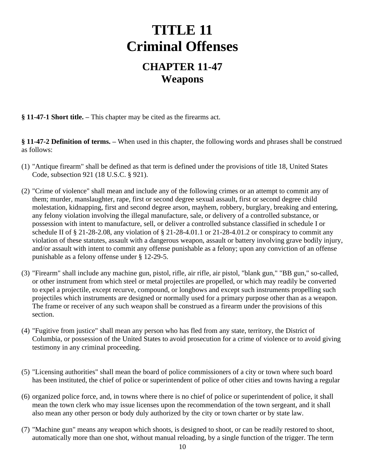# **TITLE 11 Criminal Offenses**

# **CHAPTER 11-47 Weapons**

**§ 11-47-1 Short title. –** This chapter may be cited as the firearms act.

**§ 11-47-2 Definition of terms. –** When used in this chapter, the following words and phrases shall be construed as follows:

- (1) "Antique firearm" shall be defined as that term is defined under the provisions of title 18, United States Code, subsection 921 (18 U.S.C. § 921).
- (2) "Crime of violence" shall mean and include any of the following crimes or an attempt to commit any of them; murder, manslaughter, rape, first or second degree sexual assault, first or second degree child molestation, kidnapping, first and second degree arson, mayhem, robbery, burglary, breaking and entering, any felony violation involving the illegal manufacture, sale, or delivery of a controlled substance, or possession with intent to manufacture, sell, or deliver a controlled substance classified in schedule I or schedule II of  $\S$  21-28-2.08, any violation of  $\S$  21-28-4.01.1 or 21-28-4.01.2 or conspiracy to commit any violation of these statutes, assault with a dangerous weapon, assault or battery involving grave bodily injury, and/or assault with intent to commit any offense punishable as a felony; upon any conviction of an offense punishable as a felony offense under § 12-29-5.
- (3) "Firearm" shall include any machine gun, pistol, rifle, air rifle, air pistol, "blank gun," "BB gun," so-called, or other instrument from which steel or metal projectiles are propelled, or which may readily be converted to expel a projectile, except recurve, compound, or longbows and except such instruments propelling such projectiles which instruments are designed or normally used for a primary purpose other than as a weapon. The frame or receiver of any such weapon shall be construed as a firearm under the provisions of this section.
- (4) "Fugitive from justice" shall mean any person who has fled from any state, territory, the District of Columbia, or possession of the United States to avoid prosecution for a crime of violence or to avoid giving testimony in any criminal proceeding.
- (5) "Licensing authorities" shall mean the board of police commissioners of a city or town where such board has been instituted, the chief of police or superintendent of police of other cities and towns having a regular
- (6) organized police force, and, in towns where there is no chief of police or superintendent of police, it shall mean the town clerk who may issue licenses upon the recommendation of the town sergeant, and it shall also mean any other person or body duly authorized by the city or town charter or by state law.
- (7) "Machine gun" means any weapon which shoots, is designed to shoot, or can be readily restored to shoot, automatically more than one shot, without manual reloading, by a single function of the trigger. The term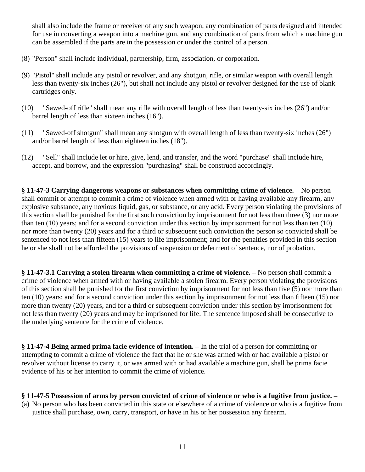shall also include the frame or receiver of any such weapon, any combination of parts designed and intended for use in converting a weapon into a machine gun, and any combination of parts from which a machine gun can be assembled if the parts are in the possession or under the control of a person.

- (8) "Person" shall include individual, partnership, firm, association, or corporation.
- (9) "Pistol" shall include any pistol or revolver, and any shotgun, rifle, or similar weapon with overall length less than twenty-six inches (26"), but shall not include any pistol or revolver designed for the use of blank cartridges only.
- (10) "Sawed-off rifle" shall mean any rifle with overall length of less than twenty-six inches (26") and/or barrel length of less than sixteen inches (16").
- (11) "Sawed-off shotgun" shall mean any shotgun with overall length of less than twenty-six inches (26") and/or barrel length of less than eighteen inches (18").
- (12) "Sell" shall include let or hire, give, lend, and transfer, and the word "purchase" shall include hire, accept, and borrow, and the expression "purchasing" shall be construed accordingly.

**§ 11-47-3 Carrying dangerous weapons or substances when committing crime of violence. –** No person shall commit or attempt to commit a crime of violence when armed with or having available any firearm, any explosive substance, any noxious liquid, gas, or substance, or any acid. Every person violating the provisions of this section shall be punished for the first such conviction by imprisonment for not less than three (3) nor more than ten (10) years; and for a second conviction under this section by imprisonment for not less than ten (10) nor more than twenty (20) years and for a third or subsequent such conviction the person so convicted shall be sentenced to not less than fifteen (15) years to life imprisonment; and for the penalties provided in this section he or she shall not be afforded the provisions of suspension or deferment of sentence, nor of probation.

**§ 11-47-3.1 Carrying a stolen firearm when committing a crime of violence. –** No person shall commit a crime of violence when armed with or having available a stolen firearm. Every person violating the provisions of this section shall be punished for the first conviction by imprisonment for not less than five (5) nor more than ten (10) years; and for a second conviction under this section by imprisonment for not less than fifteen (15) nor more than twenty (20) years, and for a third or subsequent conviction under this section by imprisonment for not less than twenty (20) years and may be imprisoned for life. The sentence imposed shall be consecutive to the underlying sentence for the crime of violence.

**§ 11-47-4 Being armed prima facie evidence of intention. –** In the trial of a person for committing or attempting to commit a crime of violence the fact that he or she was armed with or had available a pistol or revolver without license to carry it, or was armed with or had available a machine gun, shall be prima facie evidence of his or her intention to commit the crime of violence.

#### **§ 11-47-5 Possession of arms by person convicted of crime of violence or who is a fugitive from justice. –**

(a) No person who has been convicted in this state or elsewhere of a crime of violence or who is a fugitive from justice shall purchase, own, carry, transport, or have in his or her possession any firearm.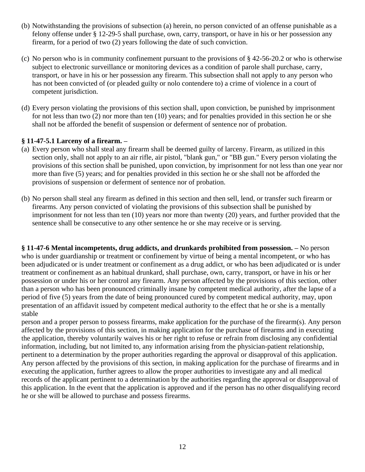- (b) Notwithstanding the provisions of subsection (a) herein, no person convicted of an offense punishable as a felony offense under § 12-29-5 shall purchase, own, carry, transport, or have in his or her possession any firearm, for a period of two (2) years following the date of such conviction.
- (c) No person who is in community confinement pursuant to the provisions of § 42-56-20.2 or who is otherwise subject to electronic surveillance or monitoring devices as a condition of parole shall purchase, carry, transport, or have in his or her possession any firearm. This subsection shall not apply to any person who has not been convicted of (or pleaded guilty or nolo contendere to) a crime of violence in a court of competent jurisdiction.
- (d) Every person violating the provisions of this section shall, upon conviction, be punished by imprisonment for not less than two (2) nor more than ten (10) years; and for penalties provided in this section he or she shall not be afforded the benefit of suspension or deferment of sentence nor of probation.

#### **§ 11-47-5.1 Larceny of a firearm. –**

- (a) Every person who shall steal any firearm shall be deemed guilty of larceny. Firearm, as utilized in this section only, shall not apply to an air rifle, air pistol, "blank gun," or "BB gun." Every person violating the provisions of this section shall be punished, upon conviction, by imprisonment for not less than one year nor more than five (5) years; and for penalties provided in this section he or she shall not be afforded the provisions of suspension or deferment of sentence nor of probation.
- (b) No person shall steal any firearm as defined in this section and then sell, lend, or transfer such firearm or firearms. Any person convicted of violating the provisions of this subsection shall be punished by imprisonment for not less than ten (10) years nor more than twenty (20) years, and further provided that the sentence shall be consecutive to any other sentence he or she may receive or is serving.

**§ 11-47-6 Mental incompetents, drug addicts, and drunkards prohibited from possession. –** No person who is under guardianship or treatment or confinement by virtue of being a mental incompetent, or who has been adjudicated or is under treatment or confinement as a drug addict, or who has been adjudicated or is under treatment or confinement as an habitual drunkard, shall purchase, own, carry, transport, or have in his or her possession or under his or her control any firearm. Any person affected by the provisions of this section, other than a person who has been pronounced criminally insane by competent medical authority, after the lapse of a period of five (5) years from the date of being pronounced cured by competent medical authority, may, upon presentation of an affidavit issued by competent medical authority to the effect that he or she is a mentally stable

person and a proper person to possess firearms, make application for the purchase of the firearm(s). Any person affected by the provisions of this section, in making application for the purchase of firearms and in executing the application, thereby voluntarily waives his or her right to refuse or refrain from disclosing any confidential information, including, but not limited to, any information arising from the physician-patient relationship, pertinent to a determination by the proper authorities regarding the approval or disapproval of this application. Any person affected by the provisions of this section, in making application for the purchase of firearms and in executing the application, further agrees to allow the proper authorities to investigate any and all medical records of the applicant pertinent to a determination by the authorities regarding the approval or disapproval of this application. In the event that the application is approved and if the person has no other disqualifying record he or she will be allowed to purchase and possess firearms.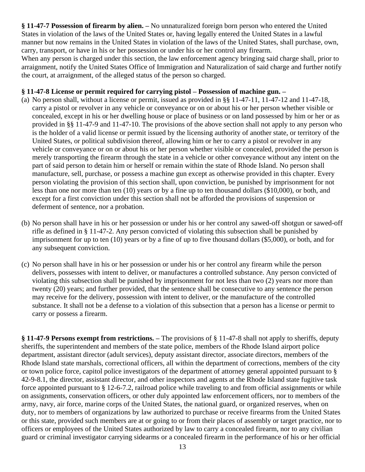**§ 11-47-7 Possession of firearm by alien. –** No unnaturalized foreign born person who entered the United States in violation of the laws of the United States or, having legally entered the United States in a lawful manner but now remains in the United States in violation of the laws of the United States, shall purchase, own, carry, transport, or have in his or her possession or under his or her control any firearm.

When any person is charged under this section, the law enforcement agency bringing said charge shall, prior to arraignment, notify the United States Office of Immigration and Naturalization of said charge and further notify the court, at arraignment, of the alleged status of the person so charged.

#### **§ 11-47-8 License or permit required for carrying pistol – Possession of machine gun. –**

- (a) No person shall, without a license or permit, issued as provided in §§ 11-47-11, 11-47-12 and 11-47-18, carry a pistol or revolver in any vehicle or conveyance or on or about his or her person whether visible or concealed, except in his or her dwelling house or place of business or on land possessed by him or her or as provided in §§ 11-47-9 and 11-47-10. The provisions of the above section shall not apply to any person who is the holder of a valid license or permit issued by the licensing authority of another state, or territory of the United States, or political subdivision thereof, allowing him or her to carry a pistol or revolver in any vehicle or conveyance or on or about his or her person whether visible or concealed, provided the person is merely transporting the firearm through the state in a vehicle or other conveyance without any intent on the part of said person to detain him or herself or remain within the state of Rhode Island. No person shall manufacture, sell, purchase, or possess a machine gun except as otherwise provided in this chapter. Every person violating the provision of this section shall, upon conviction, be punished by imprisonment for not less than one nor more than ten (10) years or by a fine up to ten thousand dollars (\$10,000), or both, and except for a first conviction under this section shall not be afforded the provisions of suspension or deferment of sentence, nor a probation.
- (b) No person shall have in his or her possession or under his or her control any sawed-off shotgun or sawed-off rifle as defined in § 11-47-2. Any person convicted of violating this subsection shall be punished by imprisonment for up to ten (10) years or by a fine of up to five thousand dollars (\$5,000), or both, and for any subsequent conviction.
- (c) No person shall have in his or her possession or under his or her control any firearm while the person delivers, possesses with intent to deliver, or manufactures a controlled substance. Any person convicted of violating this subsection shall be punished by imprisonment for not less than two (2) years nor more than twenty (20) years; and further provided, that the sentence shall be consecutive to any sentence the person may receive for the delivery, possession with intent to deliver, or the manufacture of the controlled substance. It shall not be a defense to a violation of this subsection that a person has a license or permit to carry or possess a firearm.

**§ 11-47-9 Persons exempt from restrictions. –** The provisions of § 11-47-8 shall not apply to sheriffs, deputy sheriffs, the superintendent and members of the state police, members of the Rhode Island airport police department, assistant director (adult services), deputy assistant director, associate directors, members of the Rhode Island state marshals, correctional officers, all within the department of corrections, members of the city or town police force, capitol police investigators of the department of attorney general appointed pursuant to § 42-9-8.1, the director, assistant director, and other inspectors and agents at the Rhode Island state fugitive task force appointed pursuant to § 12-6-7.2, railroad police while traveling to and from official assignments or while on assignments, conservation officers, or other duly appointed law enforcement officers, nor to members of the army, navy, air force, marine corps of the United States, the national guard, or organized reserves, when on duty, nor to members of organizations by law authorized to purchase or receive firearms from the United States or this state, provided such members are at or going to or from their places of assembly or target practice, nor to officers or employees of the United States authorized by law to carry a concealed firearm, nor to any civilian guard or criminal investigator carrying sidearms or a concealed firearm in the performance of his or her official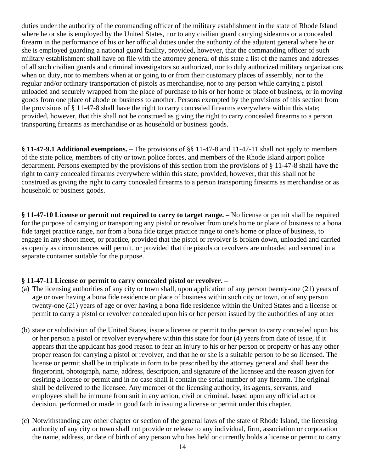duties under the authority of the commanding officer of the military establishment in the state of Rhode Island where he or she is employed by the United States, nor to any civilian guard carrying sidearms or a concealed firearm in the performance of his or her official duties under the authority of the adjutant general where he or she is employed guarding a national guard facility, provided, however, that the commanding officer of such military establishment shall have on file with the attorney general of this state a list of the names and addresses of all such civilian guards and criminal investigators so authorized, nor to duly authorized military organizations when on duty, nor to members when at or going to or from their customary places of assembly, nor to the regular and/or ordinary transportation of pistols as merchandise, nor to any person while carrying a pistol unloaded and securely wrapped from the place of purchase to his or her home or place of business, or in moving goods from one place of abode or business to another. Persons exempted by the provisions of this section from the provisions of § 11-47-8 shall have the right to carry concealed firearms everywhere within this state; provided, however, that this shall not be construed as giving the right to carry concealed firearms to a person transporting firearms as merchandise or as household or business goods.

**§ 11-47-9.1 Additional exemptions. –** The provisions of §§ 11-47-8 and 11-47-11 shall not apply to members of the state police, members of city or town police forces, and members of the Rhode Island airport police department. Persons exempted by the provisions of this section from the provisions of § 11-47-8 shall have the right to carry concealed firearms everywhere within this state; provided, however, that this shall not be construed as giving the right to carry concealed firearms to a person transporting firearms as merchandise or as household or business goods.

**§ 11-47-10 License or permit not required to carry to target range. –** No license or permit shall be required for the purpose of carrying or transporting any pistol or revolver from one's home or place of business to a bona fide target practice range, nor from a bona fide target practice range to one's home or place of business, to engage in any shoot meet, or practice, provided that the pistol or revolver is broken down, unloaded and carried as openly as circumstances will permit, or provided that the pistols or revolvers are unloaded and secured in a separate container suitable for the purpose.

### **§ 11-47-11 License or permit to carry concealed pistol or revolver. –**

- (a) The licensing authorities of any city or town shall, upon application of any person twenty-one (21) years of age or over having a bona fide residence or place of business within such city or town, or of any person twenty-one (21) years of age or over having a bona fide residence within the United States and a license or permit to carry a pistol or revolver concealed upon his or her person issued by the authorities of any other
- (b) state or subdivision of the United States, issue a license or permit to the person to carry concealed upon his or her person a pistol or revolver everywhere within this state for four (4) years from date of issue, if it appears that the applicant has good reason to fear an injury to his or her person or property or has any other proper reason for carrying a pistol or revolver, and that he or she is a suitable person to be so licensed. The license or permit shall be in triplicate in form to be prescribed by the attorney general and shall bear the fingerprint, photograph, name, address, description, and signature of the licensee and the reason given for desiring a license or permit and in no case shall it contain the serial number of any firearm. The original shall be delivered to the licensee. Any member of the licensing authority, its agents, servants, and employees shall be immune from suit in any action, civil or criminal, based upon any official act or decision, performed or made in good faith in issuing a license or permit under this chapter.
- (c) Notwithstanding any other chapter or section of the general laws of the state of Rhode Island, the licensing authority of any city or town shall not provide or release to any individual, firm, association or corporation the name, address, or date of birth of any person who has held or currently holds a license or permit to carry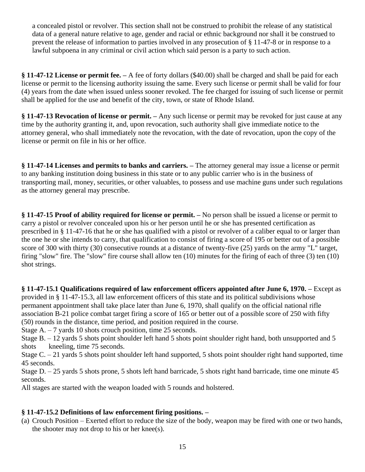a concealed pistol or revolver. This section shall not be construed to prohibit the release of any statistical data of a general nature relative to age, gender and racial or ethnic background nor shall it be construed to prevent the release of information to parties involved in any prosecution of § 11-47-8 or in response to a lawful subpoena in any criminal or civil action which said person is a party to such action.

**§ 11-47-12 License or permit fee. –** A fee of forty dollars (\$40.00) shall be charged and shall be paid for each license or permit to the licensing authority issuing the same. Every such license or permit shall be valid for four (4) years from the date when issued unless sooner revoked. The fee charged for issuing of such license or permit shall be applied for the use and benefit of the city, town, or state of Rhode Island.

**§ 11-47-13 Revocation of license or permit. –** Any such license or permit may be revoked for just cause at any time by the authority granting it, and, upon revocation, such authority shall give immediate notice to the attorney general, who shall immediately note the revocation, with the date of revocation, upon the copy of the license or permit on file in his or her office.

**§ 11-47-14 Licenses and permits to banks and carriers. –** The attorney general may issue a license or permit to any banking institution doing business in this state or to any public carrier who is in the business of transporting mail, money, securities, or other valuables, to possess and use machine guns under such regulations as the attorney general may prescribe.

**§ 11-47-15 Proof of ability required for license or permit. –** No person shall be issued a license or permit to carry a pistol or revolver concealed upon his or her person until he or she has presented certification as prescribed in § 11-47-16 that he or she has qualified with a pistol or revolver of a caliber equal to or larger than the one he or she intends to carry, that qualification to consist of firing a score of 195 or better out of a possible score of 300 with thirty (30) consecutive rounds at a distance of twenty-five (25) yards on the army "L" target, firing "slow" fire. The "slow" fire course shall allow ten (10) minutes for the firing of each of three (3) ten (10) shot strings.

**§ 11-47-15.1 Qualifications required of law enforcement officers appointed after June 6, 1970. –** Except as provided in § 11-47-15.3, all law enforcement officers of this state and its political subdivisions whose permanent appointment shall take place later than June 6, 1970, shall qualify on the official national rifle association B-21 police combat target firing a score of 165 or better out of a possible score of 250 with fifty (50) rounds in the distance, time period, and position required in the course.

Stage A. – 7 yards 10 shots crouch position, time 25 seconds.

Stage B. – 12 yards 5 shots point shoulder left hand 5 shots point shoulder right hand, both unsupported and 5 shots kneeling, time 75 seconds.

Stage C. – 21 yards 5 shots point shoulder left hand supported, 5 shots point shoulder right hand supported, time 45 seconds.

Stage D. – 25 yards 5 shots prone, 5 shots left hand barricade, 5 shots right hand barricade, time one minute 45 seconds.

All stages are started with the weapon loaded with 5 rounds and holstered.

#### **§ 11-47-15.2 Definitions of law enforcement firing positions. –**

(a) Crouch Position – Exerted effort to reduce the size of the body, weapon may be fired with one or two hands, the shooter may not drop to his or her knee(s).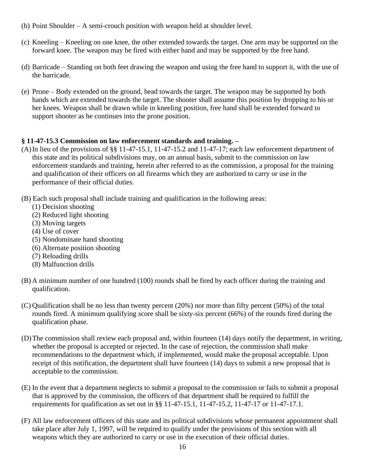- (b) Point Shoulder A semi-crouch position with weapon held at shoulder level.
- (c) Kneeling Kneeling on one knee, the other extended towards the target. One arm may be supported on the forward knee. The weapon may be fired with either hand and may be supported by the free hand.
- (d) Barricade Standing on both feet drawing the weapon and using the free hand to support it, with the use of the barricade.
- (e) Prone Body extended on the ground, head towards the target. The weapon may be supported by both hands which are extended towards the target. The shooter shall assume this position by dropping to his or her knees. Weapon shall be drawn while in kneeling position, free hand shall be extended forward to support shooter as he continues into the prone position.

## **§ 11-47-15.3 Commission on law enforcement standards and training. –**

- (A)In lieu of the provisions of §§ 11-47-15.1, 11-47-15.2 and 11-47-17; each law enforcement department of this state and its political subdivisions may, on an annual basis, submit to the commission on law enforcement standards and training, herein after referred to as the commission, a proposal for the training and qualification of their officers on all firearms which they are authorized to carry or use in the performance of their official duties.
- (B) Each such proposal shall include training and qualification in the following areas:
	- (1) Decision shooting
	- (2) Reduced light shooting
	- (3) Moving targets
	- (4) Use of cover
	- (5) Nondominate hand shooting
	- (6) Alternate position shooting
	- (7) Reloading drills
	- (8) Malfunction drills
- (B) A minimum number of one hundred (100) rounds shall be fired by each officer during the training and qualification.
- (C) Qualification shall be no less than twenty percent (20%) nor more than fifty percent (50%) of the total rounds fired. A minimum qualifying score shall be sixty-six percent (66%) of the rounds fired during the qualification phase.
- (D)The commission shall review each proposal and, within fourteen (14) days notify the department, in writing, whether the proposal is accepted or rejected. In the case of rejection, the commission shall make recommendations to the department which, if implemented, would make the proposal acceptable. Upon receipt of this notification, the department shall have fourteen (14) days to submit a new proposal that is acceptable to the commission.
- (E) In the event that a department neglects to submit a proposal to the commission or fails to submit a proposal that is approved by the commission, the officers of that department shall be required to fulfill the requirements for qualification as set out in §§ 11-47-15.1, 11-47-15.2, 11-47-17 or 11-47-17.1.
- (F) All law enforcement officers of this state and its political subdivisions whose permanent appointment shall take place after July 1, 1997, will be required to qualify under the provisions of this section with all weapons which they are authorized to carry or use in the execution of their official duties.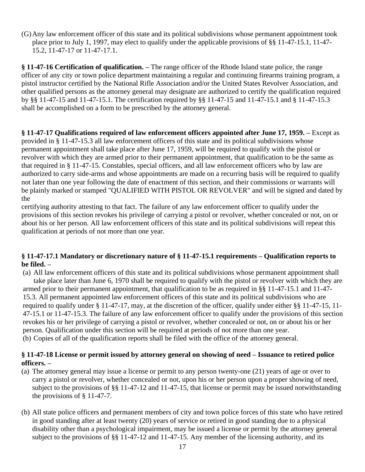(G)Any law enforcement officer of this state and its political subdivisions whose permanent appointment took place prior to July 1, 1997, may elect to qualify under the applicable provisions of §§ 11-47-15.1, 11-47- 15.2, 11-47-17 or 11-47-17.1.

**§ 11-47-16 Certification of qualification. –** The range officer of the Rhode Island state police, the range officer of any city or town police department maintaining a regular and continuing firearms training program, a pistol instructor certified by the National Rifle Association and/or the United States Revolver Association, and other qualified persons as the attorney general may designate are authorized to certify the qualification required by §§ 11-47-15 and 11-47-15.1. The certification required by §§ 11-47-15 and 11-47-15.1 and § 11-47-15.3 shall be accomplished on a form to be prescribed by the attorney general.

**§ 11-47-17 Qualifications required of law enforcement officers appointed after June 17, 1959. –** Except as provided in § 11-47-15.3 all law enforcement officers of this state and its political subdivisions whose permanent appointment shall take place after June 17, 1959, will be required to qualify with the pistol or revolver with which they are armed prior to their permanent appointment, that qualification to be the same as that required in § 11-47-15. Constables, special officers, and all law enforcement officers who by law are authorized to carry side-arms and whose appointments are made on a recurring basis will be required to qualify not later than one year following the date of enactment of this section, and their commissions or warrants will be plainly marked or stamped "QUALIFIED WITH PISTOL OR REVOLVER" and will be signed and dated by the

certifying authority attesting to that fact. The failure of any law enforcement officer to qualify under the provisions of this section revokes his privilege of carrying a pistol or revolver, whether concealed or not, on or about his or her person. All law enforcement officers of this state and its political subdivisions will repeat this qualification at periods of not more than one year.

#### **§ 11-47-17.1 Mandatory or discretionary nature of § 11-47-15.1 requirements – Qualification reports to be filed. –**

(a) All law enforcement officers of this state and its political subdivisions whose permanent appointment shall take place later than June 6, 1970 shall be required to qualify with the pistol or revolver with which they are armed prior to their permanent appointment, that qualification to be as required in §§ 11-47-15.1 and 11-47- 15.3. All permanent appointed law enforcement officers of this state and its political subdivisions who are required to qualify under § 11-47-17, may, at the discretion of the officer, qualify under either §§ 11-47-15, 11- 47-15.1 or 11-47-15.3. The failure of any law enforcement officer to qualify under the provisions of this section revokes his or her privilege of carrying a pistol or revolver, whether concealed or not, on or about his or her person. Qualification under this section will be required at periods of not more than one year. (b) Copies of all of the qualification reports shall be filed with the office of the attorney general.

#### **§ 11-47-18 License or permit issued by attorney general on showing of need – Issuance to retired police officers. –**

- (a) The attorney general may issue a license or permit to any person twenty-one (21) years of age or over to carry a pistol or revolver, whether concealed or not, upon his or her person upon a proper showing of need, subject to the provisions of §§ 11-47-12 and 11-47-15, that license or permit may be issued notwithstanding the provisions of § 11-47-7.
- (b) All state police officers and permanent members of city and town police forces of this state who have retired in good standing after at least twenty (20) years of service or retired in good standing due to a physical disability other than a psychological impairment, may be issued a license or permit by the attorney general subject to the provisions of §§ 11-47-12 and 11-47-15. Any member of the licensing authority, and its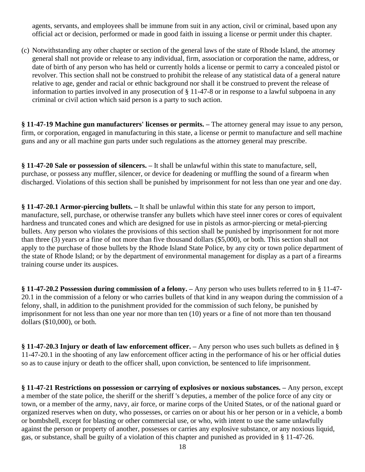agents, servants, and employees shall be immune from suit in any action, civil or criminal, based upon any official act or decision, performed or made in good faith in issuing a license or permit under this chapter.

(c) Notwithstanding any other chapter or section of the general laws of the state of Rhode Island, the attorney general shall not provide or release to any individual, firm, association or corporation the name, address, or date of birth of any person who has held or currently holds a license or permit to carry a concealed pistol or revolver. This section shall not be construed to prohibit the release of any statistical data of a general nature relative to age, gender and racial or ethnic background nor shall it be construed to prevent the release of information to parties involved in any prosecution of § 11-47-8 or in response to a lawful subpoena in any criminal or civil action which said person is a party to such action.

**§ 11-47-19 Machine gun manufacturers' licenses or permits. –** The attorney general may issue to any person, firm, or corporation, engaged in manufacturing in this state, a license or permit to manufacture and sell machine guns and any or all machine gun parts under such regulations as the attorney general may prescribe.

**§ 11-47-20 Sale or possession of silencers. –** It shall be unlawful within this state to manufacture, sell, purchase, or possess any muffler, silencer, or device for deadening or muffling the sound of a firearm when discharged. Violations of this section shall be punished by imprisonment for not less than one year and one day.

**§ 11-47-20.1 Armor-piercing bullets. –** It shall be unlawful within this state for any person to import, manufacture, sell, purchase, or otherwise transfer any bullets which have steel inner cores or cores of equivalent hardness and truncated cones and which are designed for use in pistols as armor-piercing or metal-piercing bullets. Any person who violates the provisions of this section shall be punished by imprisonment for not more than three (3) years or a fine of not more than five thousand dollars (\$5,000), or both. This section shall not apply to the purchase of those bullets by the Rhode Island State Police, by any city or town police department of the state of Rhode Island; or by the department of environmental management for display as a part of a firearms training course under its auspices.

**§ 11-47-20.2 Possession during commission of a felony. –** Any person who uses bullets referred to in § 11-47- 20.1 in the commission of a felony or who carries bullets of that kind in any weapon during the commission of a felony, shall, in addition to the punishment provided for the commission of such felony, be punished by imprisonment for not less than one year nor more than ten (10) years or a fine of not more than ten thousand dollars (\$10,000), or both.

**§ 11-47-20.3 Injury or death of law enforcement officer. –** Any person who uses such bullets as defined in § 11-47-20.1 in the shooting of any law enforcement officer acting in the performance of his or her official duties so as to cause injury or death to the officer shall, upon conviction, be sentenced to life imprisonment.

**§ 11-47-21 Restrictions on possession or carrying of explosives or noxious substances. –** Any person, except a member of the state police, the sheriff or the sheriff 's deputies, a member of the police force of any city or town, or a member of the army, navy, air force, or marine corps of the United States, or of the national guard or organized reserves when on duty, who possesses, or carries on or about his or her person or in a vehicle, a bomb or bombshell, except for blasting or other commercial use, or who, with intent to use the same unlawfully against the person or property of another, possesses or carries any explosive substance, or any noxious liquid, gas, or substance, shall be guilty of a violation of this chapter and punished as provided in § 11-47-26.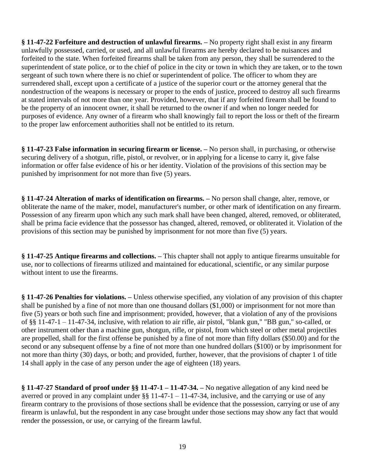**§ 11-47-22 Forfeiture and destruction of unlawful firearms. –** No property right shall exist in any firearm unlawfully possessed, carried, or used, and all unlawful firearms are hereby declared to be nuisances and forfeited to the state. When forfeited firearms shall be taken from any person, they shall be surrendered to the superintendent of state police, or to the chief of police in the city or town in which they are taken, or to the town sergeant of such town where there is no chief or superintendent of police. The officer to whom they are surrendered shall, except upon a certificate of a justice of the superior court or the attorney general that the nondestruction of the weapons is necessary or proper to the ends of justice, proceed to destroy all such firearms at stated intervals of not more than one year. Provided, however, that if any forfeited firearm shall be found to be the property of an innocent owner, it shall be returned to the owner if and when no longer needed for purposes of evidence. Any owner of a firearm who shall knowingly fail to report the loss or theft of the firearm to the proper law enforcement authorities shall not be entitled to its return.

**§ 11-47-23 False information in securing firearm or license. –** No person shall, in purchasing, or otherwise securing delivery of a shotgun, rifle, pistol, or revolver, or in applying for a license to carry it, give false information or offer false evidence of his or her identity. Violation of the provisions of this section may be punished by imprisonment for not more than five (5) years.

**§ 11-47-24 Alteration of marks of identification on firearms. –** No person shall change, alter, remove, or obliterate the name of the maker, model, manufacturer's number, or other mark of identification on any firearm. Possession of any firearm upon which any such mark shall have been changed, altered, removed, or obliterated, shall be prima facie evidence that the possessor has changed, altered, removed, or obliterated it. Violation of the provisions of this section may be punished by imprisonment for not more than five (5) years.

**§ 11-47-25 Antique firearms and collections. –** This chapter shall not apply to antique firearms unsuitable for use, nor to collections of firearms utilized and maintained for educational, scientific, or any similar purpose without intent to use the firearms.

**§ 11-47-26 Penalties for violations. –** Unless otherwise specified, any violation of any provision of this chapter shall be punished by a fine of not more than one thousand dollars (\$1,000) or imprisonment for not more than five (5) years or both such fine and imprisonment; provided, however, that a violation of any of the provisions of §§ 11-47-1 – 11-47-34, inclusive, with relation to air rifle, air pistol, "blank gun," "BB gun," so-called, or other instrument other than a machine gun, shotgun, rifle, or pistol, from which steel or other metal projectiles are propelled, shall for the first offense be punished by a fine of not more than fifty dollars (\$50.00) and for the second or any subsequent offense by a fine of not more than one hundred dollars (\$100) or by imprisonment for not more than thirty (30) days, or both; and provided, further, however, that the provisions of chapter 1 of title 14 shall apply in the case of any person under the age of eighteen (18) years.

**§ 11-47-27 Standard of proof under §§ 11-47-1 – 11-47-34. –** No negative allegation of any kind need be averred or proved in any complaint under  $\S$ § 11-47-1 – 11-47-34, inclusive, and the carrying or use of any firearm contrary to the provisions of those sections shall be evidence that the possession, carrying or use of any firearm is unlawful, but the respondent in any case brought under those sections may show any fact that would render the possession, or use, or carrying of the firearm lawful.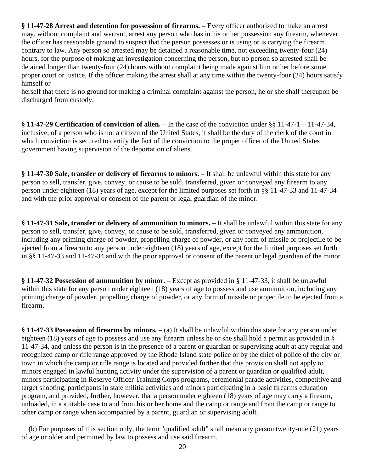**§ 11-47-28 Arrest and detention for possession of firearms. –** Every officer authorized to make an arrest may, without complaint and warrant, arrest any person who has in his or her possession any firearm, whenever the officer has reasonable ground to suspect that the person possesses or is using or is carrying the firearm contrary to law. Any person so arrested may be detained a reasonable time, not exceeding twenty-four (24) hours, for the purpose of making an investigation concerning the person, but no person so arrested shall be detained longer than twenty-four (24) hours without complaint being made against him or her before some proper court or justice. If the officer making the arrest shall at any time within the twenty-four (24) hours satisfy himself or

herself that there is no ground for making a criminal complaint against the person, he or she shall thereupon be discharged from custody.

**§ 11-47-29 Certification of conviction of alien. –** In the case of the conviction under §§ 11-47-1 – 11-47-34, inclusive, of a person who is not a citizen of the United States, it shall be the duty of the clerk of the court in which conviction is secured to certify the fact of the conviction to the proper officer of the United States government having supervision of the deportation of aliens.

**§ 11-47-30 Sale, transfer or delivery of firearms to minors. –** It shall be unlawful within this state for any person to sell, transfer, give, convey, or cause to be sold, transferred, given or conveyed any firearm to any person under eighteen (18) years of age, except for the limited purposes set forth in §§ 11-47-33 and 11-47-34 and with the prior approval or consent of the parent or legal guardian of the minor.

**§ 11-47-31 Sale, transfer or delivery of ammunition to minors. –** It shall be unlawful within this state for any person to sell, transfer, give, convey, or cause to be sold, transferred, given or conveyed any ammunition, including any priming charge of powder, propelling charge of powder, or any form of missile or projectile to be ejected from a firearm to any person under eighteen (18) years of age, except for the limited purposes set forth in §§ 11-47-33 and 11-47-34 and with the prior approval or consent of the parent or legal guardian of the minor.

**§ 11-47-32 Possession of ammunition by minor. –** Except as provided in § 11-47-33, it shall be unlawful within this state for any person under eighteen (18) years of age to possess and use ammunition, including any priming charge of powder, propelling charge of powder, or any form of missile or projectile to be ejected from a firearm.

**§ 11-47-33 Possession of firearms by minors. –** (a) It shall be unlawful within this state for any person under eighteen (18) years of age to possess and use any firearm unless he or she shall hold a permit as provided in § 11-47-34, and unless the person is in the presence of a parent or guardian or supervising adult at any regular and recognized camp or rifle range approved by the Rhode Island state police or by the chief of police of the city or town in which the camp or rifle range is located and provided further that this provision shall not apply to minors engaged in lawful hunting activity under the supervision of a parent or guardian or qualified adult, minors participating in Reserve Officer Training Corps programs, ceremonial parade activities, competitive and target shooting, participants in state militia activities and minors participating in a basic firearms education program, and provided, further, however, that a person under eighteen (18) years of age may carry a firearm, unloaded, in a suitable case to and from his or her home and the camp or range and from the camp or range to other camp or range when accompanied by a parent, guardian or supervising adult.

 (b) For purposes of this section only, the term "qualified adult" shall mean any person twenty-one (21) years of age or older and permitted by law to possess and use said firearm.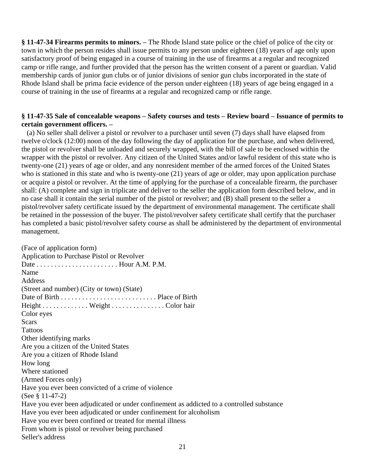**§ 11-47-34 Firearms permits to minors. –** The Rhode Island state police or the chief of police of the city or town in which the person resides shall issue permits to any person under eighteen (18) years of age only upon satisfactory proof of being engaged in a course of training in the use of firearms at a regular and recognized camp or rifle range, and further provided that the person has the written consent of a parent or guardian. Valid membership cards of junior gun clubs or of junior divisions of senior gun clubs incorporated in the state of Rhode Island shall be prima facie evidence of the person under eighteen (18) years of age being engaged in a course of training in the use of firearms at a regular and recognized camp or rifle range.

#### **§ 11-47-35 Sale of concealable weapons – Safety courses and tests – Review board – Issuance of permits to certain government officers. –**

 (a) No seller shall deliver a pistol or revolver to a purchaser until seven (7) days shall have elapsed from twelve o'clock (12:00) noon of the day following the day of application for the purchase, and when delivered, the pistol or revolver shall be unloaded and securely wrapped, with the bill of sale to be enclosed within the wrapper with the pistol or revolver. Any citizen of the United States and/or lawful resident of this state who is twenty-one (21) years of age or older, and any nonresident member of the armed forces of the United States who is stationed in this state and who is twenty-one (21) years of age or older, may upon application purchase or acquire a pistol or revolver. At the time of applying for the purchase of a concealable firearm, the purchaser shall: (A) complete and sign in triplicate and deliver to the seller the application form described below, and in no case shall it contain the serial number of the pistol or revolver; and (B) shall present to the seller a pistol/revolver safety certificate issued by the department of environmental management. The certificate shall be retained in the possession of the buyer. The pistol/revolver safety certificate shall certify that the purchaser has completed a basic pistol/revolver safety course as shall be administered by the department of environmental management.

(Face of application form) Application to Purchase Pistol or Revolver Date . . . . . . . . . . . . . . . . . . . . . . . Hour A.M. P.M. Name **Address** (Street and number) (City or town) (State) Date of Birth . . . . . . . . . . . . . . . . . . . . . . . . . . . Place of Birth Height . . . . . . . . . . . . . Weight . . . . . . . . . . . . . . . Color hair Color eyes **Scars Tattoos** Other identifying marks Are you a citizen of the United States Are you a citizen of Rhode Island How long Where stationed (Armed Forces only) Have you ever been convicted of a crime of violence (See § 11-47-2) Have you ever been adjudicated or under confinement as addicted to a controlled substance Have you ever been adjudicated or under confinement for alcoholism Have you ever been confined or treated for mental illness From whom is pistol or revolver being purchased Seller's address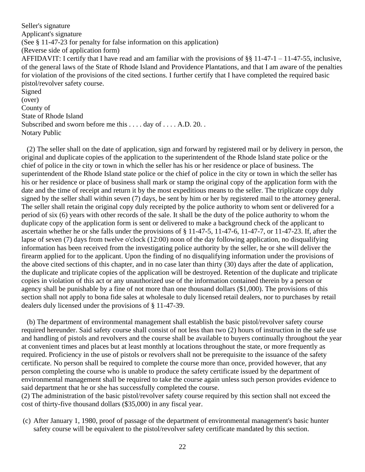Seller's signature Applicant's signature (See § 11-47-23 for penalty for false information on this application) (Reverse side of application form) AFFIDAVIT: I certify that I have read and am familiar with the provisions of §§ 11-47-1 – 11-47-55, inclusive, of the general laws of the State of Rhode Island and Providence Plantations, and that I am aware of the penalties for violation of the provisions of the cited sections. I further certify that I have completed the required basic pistol/revolver safety course. Signed (over) County of State of Rhode Island Subscribed and sworn before me this . . . . day of . . . . A.D. 20. . Notary Public

 (2) The seller shall on the date of application, sign and forward by registered mail or by delivery in person, the original and duplicate copies of the application to the superintendent of the Rhode Island state police or the chief of police in the city or town in which the seller has his or her residence or place of business. The superintendent of the Rhode Island state police or the chief of police in the city or town in which the seller has his or her residence or place of business shall mark or stamp the original copy of the application form with the date and the time of receipt and return it by the most expeditious means to the seller. The triplicate copy duly signed by the seller shall within seven (7) days, be sent by him or her by registered mail to the attorney general. The seller shall retain the original copy duly receipted by the police authority to whom sent or delivered for a period of six (6) years with other records of the sale. It shall be the duty of the police authority to whom the duplicate copy of the application form is sent or delivered to make a background check of the applicant to ascertain whether he or she falls under the provisions of § 11-47-5, 11-47-6, 11-47-7, or 11-47-23. If, after the lapse of seven (7) days from twelve o'clock (12:00) noon of the day following application, no disqualifying information has been received from the investigating police authority by the seller, he or she will deliver the firearm applied for to the applicant. Upon the finding of no disqualifying information under the provisions of the above cited sections of this chapter, and in no case later than thirty (30) days after the date of application, the duplicate and triplicate copies of the application will be destroyed. Retention of the duplicate and triplicate copies in violation of this act or any unauthorized use of the information contained therein by a person or agency shall be punishable by a fine of not more than one thousand dollars (\$1,000). The provisions of this section shall not apply to bona fide sales at wholesale to duly licensed retail dealers, nor to purchases by retail dealers duly licensed under the provisions of § 11-47-39.

 (b) The department of environmental management shall establish the basic pistol/revolver safety course required hereunder. Said safety course shall consist of not less than two (2) hours of instruction in the safe use and handling of pistols and revolvers and the course shall be available to buyers continually throughout the year at convenient times and places but at least monthly at locations throughout the state, or more frequently as required. Proficiency in the use of pistols or revolvers shall not be prerequisite to the issuance of the safety certificate. No person shall be required to complete the course more than once, provided however, that any person completing the course who is unable to produce the safety certificate issued by the department of environmental management shall be required to take the course again unless such person provides evidence to said department that he or she has successfully completed the course.

(2) The administration of the basic pistol/revolver safety course required by this section shall not exceed the cost of thirty-five thousand dollars (\$35,000) in any fiscal year.

(c) After January 1, 1980, proof of passage of the department of environmental management's basic hunter safety course will be equivalent to the pistol/revolver safety certificate mandated by this section.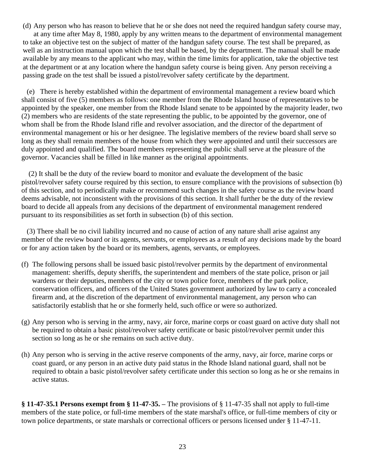(d) Any person who has reason to believe that he or she does not need the required handgun safety course may, at any time after May 8, 1980, apply by any written means to the department of environmental management to take an objective test on the subject of matter of the handgun safety course. The test shall be prepared, as well as an instruction manual upon which the test shall be based, by the department. The manual shall be made available by any means to the applicant who may, within the time limits for application, take the objective test at the department or at any location where the handgun safety course is being given. Any person receiving a passing grade on the test shall be issued a pistol/revolver safety certificate by the department.

 (e) There is hereby established within the department of environmental management a review board which shall consist of five (5) members as follows: one member from the Rhode Island house of representatives to be appointed by the speaker, one member from the Rhode Island senate to be appointed by the majority leader, two (2) members who are residents of the state representing the public, to be appointed by the governor, one of whom shall be from the Rhode Island rifle and revolver association, and the director of the department of environmental management or his or her designee. The legislative members of the review board shall serve so long as they shall remain members of the house from which they were appointed and until their successors are duly appointed and qualified. The board members representing the public shall serve at the pleasure of the governor. Vacancies shall be filled in like manner as the original appointments.

 (2) It shall be the duty of the review board to monitor and evaluate the development of the basic pistol/revolver safety course required by this section, to ensure compliance with the provisions of subsection (b) of this section, and to periodically make or recommend such changes in the safety course as the review board deems advisable, not inconsistent with the provisions of this section. It shall further be the duty of the review board to decide all appeals from any decisions of the department of environmental management rendered pursuant to its responsibilities as set forth in subsection (b) of this section.

 (3) There shall be no civil liability incurred and no cause of action of any nature shall arise against any member of the review board or its agents, servants, or employees as a result of any decisions made by the board or for any action taken by the board or its members, agents, servants, or employees.

- (f) The following persons shall be issued basic pistol/revolver permits by the department of environmental management: sheriffs, deputy sheriffs, the superintendent and members of the state police, prison or jail wardens or their deputies, members of the city or town police force, members of the park police, conservation officers, and officers of the United States government authorized by law to carry a concealed firearm and, at the discretion of the department of environmental management, any person who can satisfactorily establish that he or she formerly held, such office or were so authorized.
- (g) Any person who is serving in the army, navy, air force, marine corps or coast guard on active duty shall not be required to obtain a basic pistol/revolver safety certificate or basic pistol/revolver permit under this section so long as he or she remains on such active duty.
- (h) Any person who is serving in the active reserve components of the army, navy, air force, marine corps or coast guard, or any person in an active duty paid status in the Rhode Island national guard, shall not be required to obtain a basic pistol/revolver safety certificate under this section so long as he or she remains in active status.

**§ 11-47-35.1 Persons exempt from § 11-47-35. –** The provisions of § 11-47-35 shall not apply to full-time members of the state police, or full-time members of the state marshal's office, or full-time members of city or town police departments, or state marshals or correctional officers or persons licensed under § 11-47-11.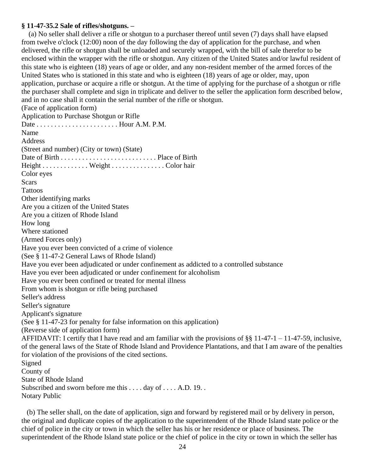#### **§ 11-47-35.2 Sale of rifles/shotguns. –**

(a) No seller shall deliver a rifle or shotgun to a purchaser thereof until seven (7) days shall have elapsed from twelve o'clock (12:00) noon of the day following the day of application for the purchase, and when delivered, the rifle or shotgun shall be unloaded and securely wrapped, with the bill of sale therefor to be enclosed within the wrapper with the rifle or shotgun. Any citizen of the United States and/or lawful resident of this state who is eighteen (18) years of age or older, and any non-resident member of the armed forces of the United States who is stationed in this state and who is eighteen (18) years of age or older, may, upon application, purchase or acquire a rifle or shotgun. At the time of applying for the purchase of a shotgun or rifle the purchaser shall complete and sign in triplicate and deliver to the seller the application form described below, and in no case shall it contain the serial number of the rifle or shotgun. (Face of application form) Application to Purchase Shotgun or Rifle Date . . . . . . . . . . . . . . . . . . . . . . . Hour A.M. P.M. Name Address (Street and number) (City or town) (State) Date of Birth . . . . . . . . . . . . . . . . . . . . . . . . . . . Place of Birth Height . . . . . . . . . . . . . Weight . . . . . . . . . . . . . . . Color hair Color eyes Scars Tattoos Other identifying marks Are you a citizen of the United States Are you a citizen of Rhode Island How long Where stationed (Armed Forces only) Have you ever been convicted of a crime of violence (See § 11-47-2 General Laws of Rhode Island) Have you ever been adjudicated or under confinement as addicted to a controlled substance Have you ever been adjudicated or under confinement for alcoholism Have you ever been confined or treated for mental illness From whom is shotgun or rifle being purchased Seller's address Seller's signature Applicant's signature (See § 11-47-23 for penalty for false information on this application) (Reverse side of application form) AFFIDAVIT: I certify that I have read and am familiar with the provisions of §§ 11-47-1 – 11-47-59, inclusive, of the general laws of the State of Rhode Island and Providence Plantations, and that I am aware of the penalties for violation of the provisions of the cited sections. Signed County of State of Rhode Island Subscribed and sworn before me this .... day of .... A.D. 19... Notary Public

 (b) The seller shall, on the date of application, sign and forward by registered mail or by delivery in person, the original and duplicate copies of the application to the superintendent of the Rhode Island state police or the chief of police in the city or town in which the seller has his or her residence or place of business. The superintendent of the Rhode Island state police or the chief of police in the city or town in which the seller has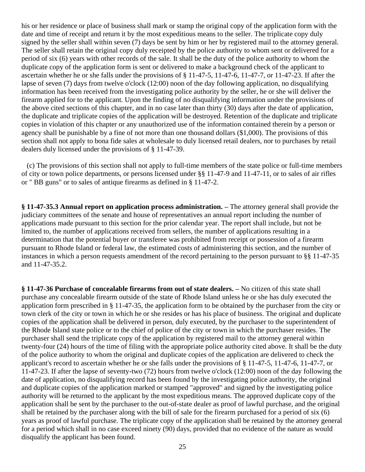his or her residence or place of business shall mark or stamp the original copy of the application form with the date and time of receipt and return it by the most expeditious means to the seller. The triplicate copy duly signed by the seller shall within seven (7) days be sent by him or her by registered mail to the attorney general. The seller shall retain the original copy duly receipted by the police authority to whom sent or delivered for a period of six (6) years with other records of the sale. It shall be the duty of the police authority to whom the duplicate copy of the application form is sent or delivered to make a background check of the applicant to ascertain whether he or she falls under the provisions of § 11-47-5, 11-47-6, 11-47-7, or 11-47-23. If after the lapse of seven (7) days from twelve o'clock (12:00) noon of the day following application, no disqualifying information has been received from the investigating police authority by the seller, he or she will deliver the firearm applied for to the applicant. Upon the finding of no disqualifying information under the provisions of the above cited sections of this chapter, and in no case later than thirty (30) days after the date of application, the duplicate and triplicate copies of the application will be destroyed. Retention of the duplicate and triplicate copies in violation of this chapter or any unauthorized use of the information contained therein by a person or agency shall be punishable by a fine of not more than one thousand dollars (\$1,000). The provisions of this section shall not apply to bona fide sales at wholesale to duly licensed retail dealers, nor to purchases by retail dealers duly licensed under the provisions of § 11-47-39.

 (c) The provisions of this section shall not apply to full-time members of the state police or full-time members of city or town police departments, or persons licensed under §§ 11-47-9 and 11-47-11, or to sales of air rifles or " BB guns" or to sales of antique firearms as defined in § 11-47-2.

**§ 11-47-35.3 Annual report on application process administration. –** The attorney general shall provide the judiciary committees of the senate and house of representatives an annual report including the number of applications made pursuant to this section for the prior calendar year. The report shall include, but not be limited to, the number of applications received from sellers, the number of applications resulting in a determination that the potential buyer or transferee was prohibited from receipt or possession of a firearm pursuant to Rhode Island or federal law, the estimated costs of administering this section, and the number of instances in which a person requests amendment of the record pertaining to the person pursuant to §§ 11-47-35 and 11-47-35.2.

**§ 11-47-36 Purchase of concealable firearms from out of state dealers. –** No citizen of this state shall purchase any concealable firearm outside of the state of Rhode Island unless he or she has duly executed the application form prescribed in § 11-47-35, the application form to be obtained by the purchaser from the city or town clerk of the city or town in which he or she resides or has his place of business. The original and duplicate copies of the application shall be delivered in person, duly executed, by the purchaser to the superintendent of the Rhode Island state police or to the chief of police of the city or town in which the purchaser resides. The purchaser shall send the triplicate copy of the application by registered mail to the attorney general within twenty-four (24) hours of the time of filing with the appropriate police authority cited above. It shall be the duty of the police authority to whom the original and duplicate copies of the application are delivered to check the applicant's record to ascertain whether he or she falls under the provisions of § 11-47-5, 11-47-6, 11-47-7, or 11-47-23. If after the lapse of seventy-two (72) hours from twelve o'clock (12:00) noon of the day following the date of application, no disqualifying record has been found by the investigating police authority, the original and duplicate copies of the application marked or stamped "approved" and signed by the investigating police authority will be returned to the applicant by the most expeditious means. The approved duplicate copy of the application shall be sent by the purchaser to the out-of-state dealer as proof of lawful purchase, and the original shall be retained by the purchaser along with the bill of sale for the firearm purchased for a period of six (6) years as proof of lawful purchase. The triplicate copy of the application shall be retained by the attorney general for a period which shall in no case exceed ninety (90) days, provided that no evidence of the nature as would disqualify the applicant has been found.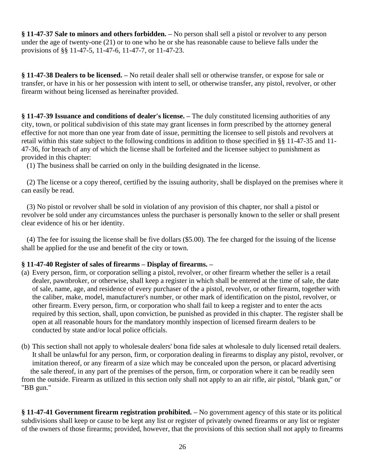**§ 11-47-37 Sale to minors and others forbidden. –** No person shall sell a pistol or revolver to any person under the age of twenty-one (21) or to one who he or she has reasonable cause to believe falls under the provisions of §§ 11-47-5, 11-47-6, 11-47-7, or 11-47-23.

**§ 11-47-38 Dealers to be licensed. –** No retail dealer shall sell or otherwise transfer, or expose for sale or transfer, or have in his or her possession with intent to sell, or otherwise transfer, any pistol, revolver, or other firearm without being licensed as hereinafter provided.

**§ 11-47-39 Issuance and conditions of dealer's license. –** The duly constituted licensing authorities of any city, town, or political subdivision of this state may grant licenses in form prescribed by the attorney general effective for not more than one year from date of issue, permitting the licensee to sell pistols and revolvers at retail within this state subject to the following conditions in addition to those specified in §§ 11-47-35 and 11- 47-36, for breach of any of which the license shall be forfeited and the licensee subject to punishment as provided in this chapter:

(1) The business shall be carried on only in the building designated in the license.

 (2) The license or a copy thereof, certified by the issuing authority, shall be displayed on the premises where it can easily be read.

 (3) No pistol or revolver shall be sold in violation of any provision of this chapter, nor shall a pistol or revolver be sold under any circumstances unless the purchaser is personally known to the seller or shall present clear evidence of his or her identity.

 (4) The fee for issuing the license shall be five dollars (\$5.00). The fee charged for the issuing of the license shall be applied for the use and benefit of the city or town.

### **§ 11-47-40 Register of sales of firearms – Display of firearms. –**

- (a) Every person, firm, or corporation selling a pistol, revolver, or other firearm whether the seller is a retail dealer, pawnbroker, or otherwise, shall keep a register in which shall be entered at the time of sale, the date of sale, name, age, and residence of every purchaser of the a pistol, revolver, or other firearm, together with the caliber, make, model, manufacturer's number, or other mark of identification on the pistol, revolver, or other firearm. Every person, firm, or corporation who shall fail to keep a register and to enter the acts required by this section, shall, upon conviction, be punished as provided in this chapter. The register shall be open at all reasonable hours for the mandatory monthly inspection of licensed firearm dealers to be conducted by state and/or local police officials.
- (b) This section shall not apply to wholesale dealers' bona fide sales at wholesale to duly licensed retail dealers. It shall be unlawful for any person, firm, or corporation dealing in firearms to display any pistol, revolver, or imitation thereof, or any firearm of a size which may be concealed upon the person, or placard advertising the sale thereof, in any part of the premises of the person, firm, or corporation where it can be readily seen from the outside. Firearm as utilized in this section only shall not apply to an air rifle, air pistol, "blank gun," or "BB gun."

**§ 11-47-41 Government firearm registration prohibited. –** No government agency of this state or its political subdivisions shall keep or cause to be kept any list or register of privately owned firearms or any list or register of the owners of those firearms; provided, however, that the provisions of this section shall not apply to firearms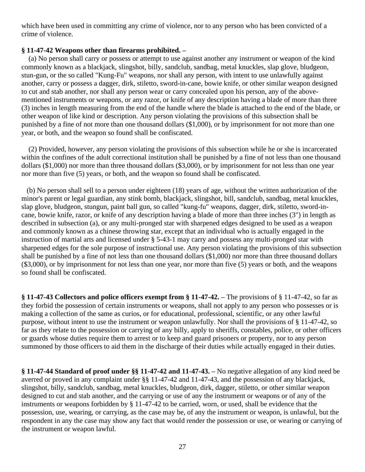which have been used in committing any crime of violence, nor to any person who has been convicted of a crime of violence.

#### **§ 11-47-42 Weapons other than firearms prohibited. –**

(a) No person shall carry or possess or attempt to use against another any instrument or weapon of the kind commonly known as a blackjack, slingshot, billy, sandclub, sandbag, metal knuckles, slap glove, bludgeon, stun-gun, or the so called "Kung-Fu" weapons, nor shall any person, with intent to use unlawfully against another, carry or possess a dagger, dirk, stiletto, sword-in-cane, bowie knife, or other similar weapon designed to cut and stab another, nor shall any person wear or carry concealed upon his person, any of the abovementioned instruments or weapons, or any razor, or knife of any description having a blade of more than three (3) inches in length measuring from the end of the handle where the blade is attached to the end of the blade, or other weapon of like kind or description. Any person violating the provisions of this subsection shall be punished by a fine of not more than one thousand dollars (\$1,000), or by imprisonment for not more than one year, or both, and the weapon so found shall be confiscated.

 (2) Provided, however, any person violating the provisions of this subsection while he or she is incarcerated within the confines of the adult correctional institution shall be punished by a fine of not less than one thousand dollars (\$1,000) nor more than three thousand dollars (\$3,000), or by imprisonment for not less than one year nor more than five (5) years, or both, and the weapon so found shall be confiscated.

 (b) No person shall sell to a person under eighteen (18) years of age, without the written authorization of the minor's parent or legal guardian, any stink bomb, blackjack, slingshot, bill, sandclub, sandbag, metal knuckles, slap glove, bludgeon, stungun, paint ball gun, so called "kung-fu" weapons, dagger, dirk, stiletto, sword-incane, bowie knife, razor, or knife of any description having a blade of more than three inches (3") in length as described in subsection (a), or any multi-pronged star with sharpened edges designed to be used as a weapon and commonly known as a chinese throwing star, except that an individual who is actually engaged in the instruction of martial arts and licensed under § 5-43-1 may carry and possess any multi-pronged star with sharpened edges for the sole purpose of instructional use. Any person violating the provisions of this subsection shall be punished by a fine of not less than one thousand dollars (\$1,000) nor more than three thousand dollars (\$3,000), or by imprisonment for not less than one year, nor more than five (5) years or both, and the weapons so found shall be confiscated.

**§ 11-47-43 Collectors and police officers exempt from § 11-47-42. –** The provisions of § 11-47-42, so far as they forbid the possession of certain instruments or weapons, shall not apply to any person who possesses or is making a collection of the same as curios, or for educational, professional, scientific, or any other lawful purpose, without intent to use the instrument or weapon unlawfully. Nor shall the provisions of § 11-47-42, so far as they relate to the possession or carrying of any billy, apply to sheriffs, constables, police, or other officers or guards whose duties require them to arrest or to keep and guard prisoners or property, nor to any person summoned by those officers to aid them in the discharge of their duties while actually engaged in their duties.

**§ 11-47-44 Standard of proof under §§ 11-47-42 and 11-47-43. –** No negative allegation of any kind need be averred or proved in any complaint under §§ 11-47-42 and 11-47-43, and the possession of any blackjack, slingshot, billy, sandclub, sandbag, metal knuckles, bludgeon, dirk, dagger, stiletto, or other similar weapon designed to cut and stab another, and the carrying or use of any the instrument or weapons or of any of the instruments or weapons forbidden by § 11-47-42 to be carried, worn, or used, shall be evidence that the possession, use, wearing, or carrying, as the case may be, of any the instrument or weapon, is unlawful, but the respondent in any the case may show any fact that would render the possession or use, or wearing or carrying of the instrument or weapon lawful.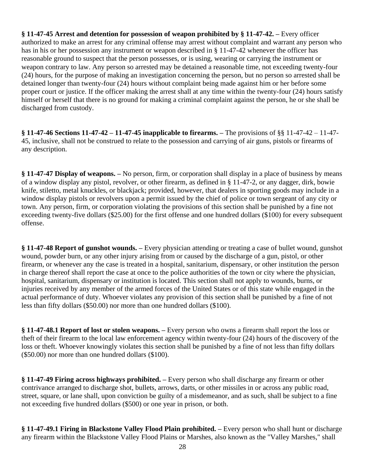**§ 11-47-45 Arrest and detention for possession of weapon prohibited by § 11-47-42. –** Every officer authorized to make an arrest for any criminal offense may arrest without complaint and warrant any person who has in his or her possession any instrument or weapon described in § 11-47-42 whenever the officer has reasonable ground to suspect that the person possesses, or is using, wearing or carrying the instrument or weapon contrary to law. Any person so arrested may be detained a reasonable time, not exceeding twenty-four (24) hours, for the purpose of making an investigation concerning the person, but no person so arrested shall be detained longer than twenty-four (24) hours without complaint being made against him or her before some proper court or justice. If the officer making the arrest shall at any time within the twenty-four (24) hours satisfy himself or herself that there is no ground for making a criminal complaint against the person, he or she shall be discharged from custody.

**§ 11-47-46 Sections 11-47-42 – 11-47-45 inapplicable to firearms. –** The provisions of §§ 11-47-42 – 11-47- 45, inclusive, shall not be construed to relate to the possession and carrying of air guns, pistols or firearms of any description.

**§ 11-47-47 Display of weapons. –** No person, firm, or corporation shall display in a place of business by means of a window display any pistol, revolver, or other firearm, as defined in § 11-47-2, or any dagger, dirk, bowie knife, stiletto, metal knuckles, or blackjack; provided, however, that dealers in sporting goods may include in a window display pistols or revolvers upon a permit issued by the chief of police or town sergeant of any city or town. Any person, firm, or corporation violating the provisions of this section shall be punished by a fine not exceeding twenty-five dollars (\$25.00) for the first offense and one hundred dollars (\$100) for every subsequent offense.

**§ 11-47-48 Report of gunshot wounds. –** Every physician attending or treating a case of bullet wound, gunshot wound, powder burn, or any other injury arising from or caused by the discharge of a gun, pistol, or other firearm, or whenever any the case is treated in a hospital, sanitarium, dispensary, or other institution the person in charge thereof shall report the case at once to the police authorities of the town or city where the physician, hospital, sanitarium, dispensary or institution is located. This section shall not apply to wounds, burns, or injuries received by any member of the armed forces of the United States or of this state while engaged in the actual performance of duty. Whoever violates any provision of this section shall be punished by a fine of not less than fifty dollars (\$50.00) nor more than one hundred dollars (\$100).

**§ 11-47-48.1 Report of lost or stolen weapons. –** Every person who owns a firearm shall report the loss or theft of their firearm to the local law enforcement agency within twenty-four (24) hours of the discovery of the loss or theft. Whoever knowingly violates this section shall be punished by a fine of not less than fifty dollars (\$50.00) nor more than one hundred dollars (\$100).

**§ 11-47-49 Firing across highways prohibited. –** Every person who shall discharge any firearm or other contrivance arranged to discharge shot, bullets, arrows, darts, or other missiles in or across any public road, street, square, or lane shall, upon conviction be guilty of a misdemeanor, and as such, shall be subject to a fine not exceeding five hundred dollars (\$500) or one year in prison, or both.

**§ 11-47-49.1 Firing in Blackstone Valley Flood Plain prohibited. –** Every person who shall hunt or discharge any firearm within the Blackstone Valley Flood Plains or Marshes, also known as the "Valley Marshes," shall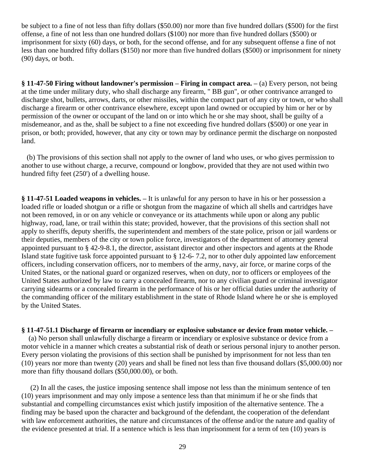be subject to a fine of not less than fifty dollars (\$50.00) nor more than five hundred dollars (\$500) for the first offense, a fine of not less than one hundred dollars (\$100) nor more than five hundred dollars (\$500) or imprisonment for sixty (60) days, or both, for the second offense, and for any subsequent offense a fine of not less than one hundred fifty dollars (\$150) nor more than five hundred dollars (\$500) or imprisonment for ninety (90) days, or both.

**§ 11-47-50 Firing without landowner's permission – Firing in compact area. –** (a) Every person, not being at the time under military duty, who shall discharge any firearm, " BB gun", or other contrivance arranged to discharge shot, bullets, arrows, darts, or other missiles, within the compact part of any city or town, or who shall discharge a firearm or other contrivance elsewhere, except upon land owned or occupied by him or her or by permission of the owner or occupant of the land on or into which he or she may shoot, shall be guilty of a misdemeanor, and as the, shall be subject to a fine not exceeding five hundred dollars (\$500) or one year in prison, or both; provided, however, that any city or town may by ordinance permit the discharge on nonposted land.

 (b) The provisions of this section shall not apply to the owner of land who uses, or who gives permission to another to use without charge, a recurve, compound or longbow, provided that they are not used within two hundred fifty feet (250') of a dwelling house.

**§ 11-47-51 Loaded weapons in vehicles. –** It is unlawful for any person to have in his or her possession a loaded rifle or loaded shotgun or a rifle or shotgun from the magazine of which all shells and cartridges have not been removed, in or on any vehicle or conveyance or its attachments while upon or along any public highway, road, lane, or trail within this state; provided, however, that the provisions of this section shall not apply to sheriffs, deputy sheriffs, the superintendent and members of the state police, prison or jail wardens or their deputies, members of the city or town police force, investigators of the department of attorney general appointed pursuant to § 42-9-8.1, the director, assistant director and other inspectors and agents at the Rhode Island state fugitive task force appointed pursuant to § 12-6- 7.2, nor to other duly appointed law enforcement officers, including conservation officers, nor to members of the army, navy, air force, or marine corps of the United States, or the national guard or organized reserves, when on duty, nor to officers or employees of the United States authorized by law to carry a concealed firearm, nor to any civilian guard or criminal investigator carrying sidearms or a concealed firearm in the performance of his or her official duties under the authority of the commanding officer of the military establishment in the state of Rhode Island where he or she is employed by the United States.

**§ 11-47-51.1 Discharge of firearm or incendiary or explosive substance or device from motor vehicle. –** (a) No person shall unlawfully discharge a firearm or incendiary or explosive substance or device from a motor vehicle in a manner which creates a substantial risk of death or serious personal injury to another person. Every person violating the provisions of this section shall be punished by imprisonment for not less than ten (10) years nor more than twenty (20) years and shall be fined not less than five thousand dollars (\$5,000.00) nor

 (2) In all the cases, the justice imposing sentence shall impose not less than the minimum sentence of ten (10) years imprisonment and may only impose a sentence less than that minimum if he or she finds that substantial and compelling circumstances exist which justify imposition of the alternative sentence. The a finding may be based upon the character and background of the defendant, the cooperation of the defendant with law enforcement authorities, the nature and circumstances of the offense and/or the nature and quality of the evidence presented at trial. If a sentence which is less than imprisonment for a term of ten (10) years is

more than fifty thousand dollars (\$50,000.00), or both.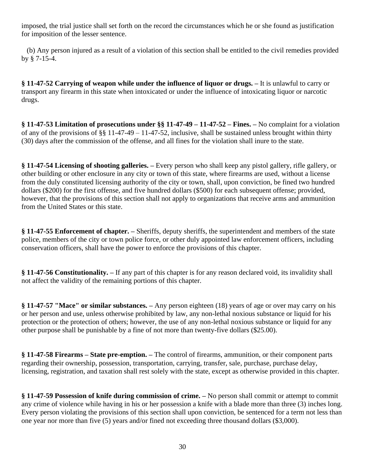imposed, the trial justice shall set forth on the record the circumstances which he or she found as justification for imposition of the lesser sentence.

 (b) Any person injured as a result of a violation of this section shall be entitled to the civil remedies provided by § 7-15-4.

**§ 11-47-52 Carrying of weapon while under the influence of liquor or drugs. –** It is unlawful to carry or transport any firearm in this state when intoxicated or under the influence of intoxicating liquor or narcotic drugs.

**§ 11-47-53 Limitation of prosecutions under §§ 11-47-49 – 11-47-52 – Fines. –** No complaint for a violation of any of the provisions of §§ 11-47-49 – 11-47-52, inclusive, shall be sustained unless brought within thirty (30) days after the commission of the offense, and all fines for the violation shall inure to the state.

**§ 11-47-54 Licensing of shooting galleries. –** Every person who shall keep any pistol gallery, rifle gallery, or other building or other enclosure in any city or town of this state, where firearms are used, without a license from the duly constituted licensing authority of the city or town, shall, upon conviction, be fined two hundred dollars (\$200) for the first offense, and five hundred dollars (\$500) for each subsequent offense; provided, however, that the provisions of this section shall not apply to organizations that receive arms and ammunition from the United States or this state.

**§ 11-47-55 Enforcement of chapter. –** Sheriffs, deputy sheriffs, the superintendent and members of the state police, members of the city or town police force, or other duly appointed law enforcement officers, including conservation officers, shall have the power to enforce the provisions of this chapter.

**§ 11-47-56 Constitutionality. –** If any part of this chapter is for any reason declared void, its invalidity shall not affect the validity of the remaining portions of this chapter.

**§ 11-47-57 "Mace" or similar substances. –** Any person eighteen (18) years of age or over may carry on his or her person and use, unless otherwise prohibited by law, any non-lethal noxious substance or liquid for his protection or the protection of others; however, the use of any non-lethal noxious substance or liquid for any other purpose shall be punishable by a fine of not more than twenty-five dollars (\$25.00).

**§ 11-47-58 Firearms – State pre-emption. –** The control of firearms, ammunition, or their component parts regarding their ownership, possession, transportation, carrying, transfer, sale, purchase, purchase delay, licensing, registration, and taxation shall rest solely with the state, except as otherwise provided in this chapter.

**§ 11-47-59 Possession of knife during commission of crime. –** No person shall commit or attempt to commit any crime of violence while having in his or her possession a knife with a blade more than three (3) inches long. Every person violating the provisions of this section shall upon conviction, be sentenced for a term not less than one year nor more than five (5) years and/or fined not exceeding three thousand dollars (\$3,000).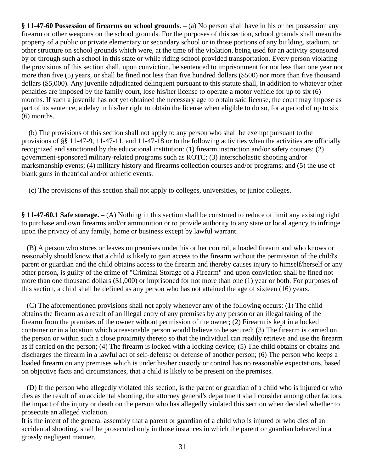**§ 11-47-60 Possession of firearms on school grounds. –** (a) No person shall have in his or her possession any firearm or other weapons on the school grounds. For the purposes of this section, school grounds shall mean the property of a public or private elementary or secondary school or in those portions of any building, stadium, or other structure on school grounds which were, at the time of the violation, being used for an activity sponsored by or through such a school in this state or while riding school provided transportation. Every person violating the provisions of this section shall, upon conviction, be sentenced to imprisonment for not less than one year nor more than five (5) years, or shall be fined not less than five hundred dollars (\$500) nor more than five thousand dollars (\$5,000). Any juvenile adjudicated delinquent pursuant to this statute shall, in addition to whatever other penalties are imposed by the family court, lose his/her license to operate a motor vehicle for up to six (6) months. If such a juvenile has not yet obtained the necessary age to obtain said license, the court may impose as part of its sentence, a delay in his/her right to obtain the license when eligible to do so, for a period of up to six (6) months.

 (b) The provisions of this section shall not apply to any person who shall be exempt pursuant to the provisions of §§ 11-47-9, 11-47-11, and 11-47-18 or to the following activities when the activities are officially recognized and sanctioned by the educational institution: (1) firearm instruction and/or safety courses; (2) government-sponsored military-related programs such as ROTC; (3) interscholastic shooting and/or marksmanship events; (4) military history and firearms collection courses and/or programs; and (5) the use of blank guns in theatrical and/or athletic events.

(c) The provisions of this section shall not apply to colleges, universities, or junior colleges.

**§ 11-47-60.1 Safe storage. –** (A) Nothing in this section shall be construed to reduce or limit any existing right to purchase and own firearms and/or ammunition or to provide authority to any state or local agency to infringe upon the privacy of any family, home or business except by lawful warrant.

 (B) A person who stores or leaves on premises under his or her control, a loaded firearm and who knows or reasonably should know that a child is likely to gain access to the firearm without the permission of the child's parent or guardian and the child obtains access to the firearm and thereby causes injury to himself/herself or any other person, is guilty of the crime of "Criminal Storage of a Firearm" and upon conviction shall be fined not more than one thousand dollars (\$1,000) or imprisoned for not more than one (1) year or both. For purposes of this section, a child shall be defined as any person who has not attained the age of sixteen (16) years.

 (C) The aforementioned provisions shall not apply whenever any of the following occurs: (1) The child obtains the firearm as a result of an illegal entry of any premises by any person or an illegal taking of the firearm from the premises of the owner without permission of the owner; (2) Firearm is kept in a locked container or in a location which a reasonable person would believe to be secured; (3) The firearm is carried on the person or within such a close proximity thereto so that the individual can readily retrieve and use the firearm as if carried on the person; (4) The firearm is locked with a locking device; (5) The child obtains or obtains and discharges the firearm in a lawful act of self-defense or defense of another person; (6) The person who keeps a loaded firearm on any premises which is under his/her custody or control has no reasonable expectations, based on objective facts and circumstances, that a child is likely to be present on the premises.

 (D) If the person who allegedly violated this section, is the parent or guardian of a child who is injured or who dies as the result of an accidental shooting, the attorney general's department shall consider among other factors, the impact of the injury or death on the person who has allegedly violated this section when decided whether to prosecute an alleged violation.

It is the intent of the general assembly that a parent or guardian of a child who is injured or who dies of an accidental shooting, shall be prosecuted only in those instances in which the parent or guardian behaved in a grossly negligent manner.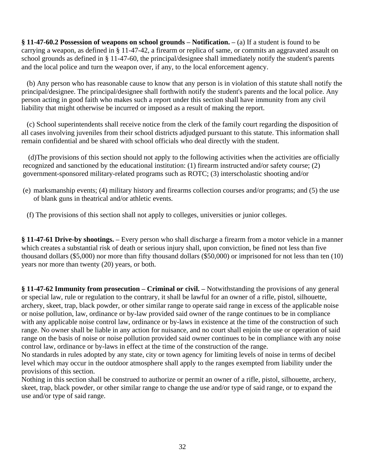**§ 11-47-60.2 Possession of weapons on school grounds – Notification. –** (a) If a student is found to be carrying a weapon, as defined in § 11-47-42, a firearm or replica of same, or commits an aggravated assault on school grounds as defined in § 11-47-60, the principal/designee shall immediately notify the student's parents and the local police and turn the weapon over, if any, to the local enforcement agency.

 (b) Any person who has reasonable cause to know that any person is in violation of this statute shall notify the principal/designee. The principal/designee shall forthwith notify the student's parents and the local police. Any person acting in good faith who makes such a report under this section shall have immunity from any civil liability that might otherwise be incurred or imposed as a result of making the report.

 (c) School superintendents shall receive notice from the clerk of the family court regarding the disposition of all cases involving juveniles from their school districts adjudged pursuant to this statute. This information shall remain confidential and be shared with school officials who deal directly with the student.

 (d)The provisions of this section should not apply to the following activities when the activities are officially recognized and sanctioned by the educational institution: (1) firearm instructed and/or safety course; (2) government-sponsored military-related programs such as ROTC; (3) interscholastic shooting and/or

- (e) marksmanship events; (4) military history and firearms collection courses and/or programs; and (5) the use of blank guns in theatrical and/or athletic events.
- (f) The provisions of this section shall not apply to colleges, universities or junior colleges.

**§ 11-47-61 Drive-by shootings. –** Every person who shall discharge a firearm from a motor vehicle in a manner which creates a substantial risk of death or serious injury shall, upon conviction, be fined not less than five thousand dollars (\$5,000) nor more than fifty thousand dollars (\$50,000) or imprisoned for not less than ten (10) years nor more than twenty (20) years, or both.

**§ 11-47-62 Immunity from prosecution – Criminal or civil. –** Notwithstanding the provisions of any general or special law, rule or regulation to the contrary, it shall be lawful for an owner of a rifle, pistol, silhouette, archery, skeet, trap, black powder, or other similar range to operate said range in excess of the applicable noise or noise pollution, law, ordinance or by-law provided said owner of the range continues to be in compliance with any applicable noise control law, ordinance or by-laws in existence at the time of the construction of such range. No owner shall be liable in any action for nuisance, and no court shall enjoin the use or operation of said range on the basis of noise or noise pollution provided said owner continues to be in compliance with any noise control law, ordinance or by-laws in effect at the time of the construction of the range.

No standards in rules adopted by any state, city or town agency for limiting levels of noise in terms of decibel level which may occur in the outdoor atmosphere shall apply to the ranges exempted from liability under the provisions of this section.

Nothing in this section shall be construed to authorize or permit an owner of a rifle, pistol, silhouette, archery, skeet, trap, black powder, or other similar range to change the use and/or type of said range, or to expand the use and/or type of said range.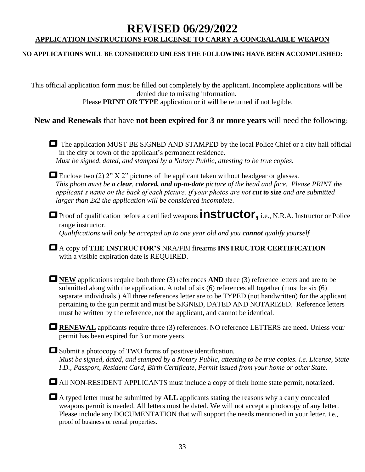## **REVISED 06/29/2022 APPLICATION INSTRUCTIONS FOR LICENSE TO CARRY A CONCEALABLE WEAPON**

#### **NO APPLICATIONS WILL BE CONSIDERED UNLESS THE FOLLOWING HAVE BEEN ACCOMPLISHED:**

This official application form must be filled out completely by the applicant. Incomplete applications will be denied due to missing information.

Please **PRINT OR TYPE** application or it will be returned if not legible.

### **New and Renewals** that have **not been expired for 3 or more years** will need the following:

■ The application MUST BE SIGNED AND STAMPED by the local Police Chief or a city hall official in the city or town of the applicant's permanent residence. *Must be signed, dated, and stamped by a Notary Public, attesting to be true copies.*

**□**Enclose two (2) 2" X 2" pictures of the applicant taken without headgear or glasses. *This photo must be a clear, colored, and up-to-date picture of the head and face. Please PRINT the applicant's name on the back of each picture. If your photos are not cut to size and are submitted larger than 2x2 the application will be considered incomplete.*

**□** Proof of qualification before a certified weapons **instructor**, i.e., N.R.A. Instructor or Police range instructor. *Qualifications will only be accepted up to one year old and you cannot qualify yourself.*

 **ߛ**A copy of **THE INSTRUCTOR'S** NRA/FBI firearms **INSTRUCTOR CERTIFICATION** with a visible expiration date is REQUIRED.

**□NEW** applications require both three (3) references **AND** three (3) reference letters and are to be submitted along with the application. A total of six (6) references all together (must be six (6) separate individuals.) All three references letter are to be TYPED (not handwritten) for the applicant pertaining to the gun permit and must be SIGNED, DATED AND NOTARIZED. Reference letters must be written by the reference, not the applicant, and cannot be identical.

**□RENEWAL** applicants require three (3) references. NO reference LETTERS are need. Unless your permit has been expired for 3 or more years.

■ Submit a photocopy of TWO forms of positive identification. *Must be signed, dated, and stamped by a Notary Public, attesting to be true copies. i.e. License, State I.D., Passport, Resident Card, Birth Certificate, Permit issued from your home or other State.*

 $\Box$  All NON-RESIDENT APPLICANTS must include a copy of their home state permit, notarized.

■ A typed letter must be submitted by **ALL** applicants stating the reasons why a carry concealed weapons permit is needed. All letters must be dated. We will not accept a photocopy of any letter. Please include any DOCUMENTATION that will support the needs mentioned in your letter. i.e., proof of business or rental properties.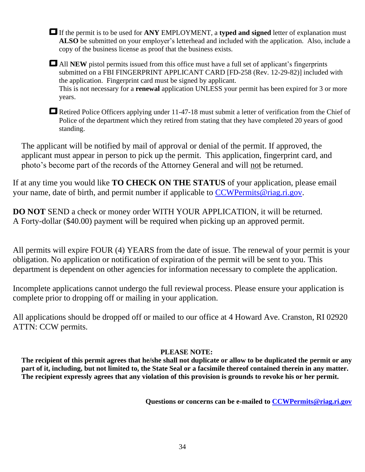**ߛ**If the permit is to be used for **ANY** EMPLOYMENT, a **typed and signed** letter of explanation must **ALSO** be submitted on your employer's letterhead and included with the application. Also, include a copy of the business license as proof that the business exists.

**□**All **NEW** pistol permits issued from this office must have a full set of applicant's fingerprints submitted on a FBI FINGERPRINT APPLICANT CARD [FD-258 (Rev. 12-29-82)] included with the application. Fingerprint card must be signed by applicant. This is not necessary for a **renewal** application UNLESS your permit has been expired for 3 or more years.

■Retired Police Officers applying under 11-47-18 must submit a letter of verification from the Chief of Police of the department which they retired from stating that they have completed 20 years of good standing.

The applicant will be notified by mail of approval or denial of the permit. If approved, the applicant must appear in person to pick up the permit. This application, fingerprint card, and photo's become part of the records of the Attorney General and will not be returned.

If at any time you would like **TO CHECK ON THE STATUS** of your application, please email your name, date of birth, and permit number if applicable to [CCWPermits@riag.ri.gov.](mailto:CCWPermits@riag.ri.gov)

**DO NOT** SEND a check or money order WITH YOUR APPLICATION, it will be returned. A Forty-dollar (\$40.00) payment will be required when picking up an approved permit.

All permits will expire FOUR (4) YEARS from the date of issue. The renewal of your permit is your obligation. No application or notification of expiration of the permit will be sent to you. This department is dependent on other agencies for information necessary to complete the application.

Incomplete applications cannot undergo the full reviewal process. Please ensure your application is complete prior to dropping off or mailing in your application.

All applications should be dropped off or mailed to our office at 4 Howard Ave. Cranston, RI 02920 ATTN: CCW permits.

### **PLEASE NOTE:**

**The recipient of this permit agrees that he/she shall not duplicate or allow to be duplicated the permit or any part of it, including, but not limited to, the State Seal or a facsimile thereof contained therein in any matter. The recipient expressly agrees that any violation of this provision is grounds to revoke his or her permit.**

**Questions or concerns can be e-mailed to [CCWPermits@riag.ri.gov](mailto:CCWPermits@riag.ri.gov)**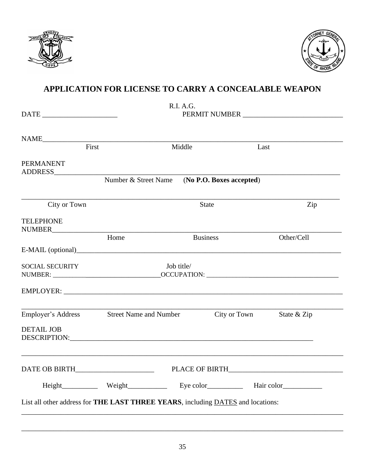



## APPLICATION FOR LICENSE TO CARRY A CONCEALABLE WEAPON

| $\begin{tabular}{c} DATE & \textcolor{red}{\textbf{}} & \textcolor{red}{\textbf{}} \\ \end{tabular}$                                                                                                                                                | R.I. A.G.<br>PERMIT NUMBER |                          |                             |  |
|-----------------------------------------------------------------------------------------------------------------------------------------------------------------------------------------------------------------------------------------------------|----------------------------|--------------------------|-----------------------------|--|
|                                                                                                                                                                                                                                                     |                            |                          |                             |  |
| NAME NAME                                                                                                                                                                                                                                           |                            |                          |                             |  |
| First                                                                                                                                                                                                                                               |                            | Middle                   | Last                        |  |
| <b>PERMANENT</b>                                                                                                                                                                                                                                    |                            |                          |                             |  |
|                                                                                                                                                                                                                                                     | Number & Street Name       | (No P.O. Boxes accepted) |                             |  |
| City or Town                                                                                                                                                                                                                                        |                            | <b>State</b>             | Zip                         |  |
| <b>TELEPHONE</b>                                                                                                                                                                                                                                    |                            |                          |                             |  |
|                                                                                                                                                                                                                                                     | Home                       | <b>Business</b>          | Other/Cell                  |  |
|                                                                                                                                                                                                                                                     |                            |                          |                             |  |
| <b>SOCIAL SECURITY</b>                                                                                                                                                                                                                              | Job title/                 |                          |                             |  |
|                                                                                                                                                                                                                                                     |                            |                          |                             |  |
|                                                                                                                                                                                                                                                     |                            |                          |                             |  |
| Employer's Address Street Name and Number                                                                                                                                                                                                           |                            |                          | City or Town<br>State & Zip |  |
| <b>DETAIL JOB</b><br>DESCRIPTION: The contract of the contract of the contract of the contract of the contract of the contract of the contract of the contract of the contract of the contract of the contract of the contract of the contract of t |                            |                          |                             |  |
| DATE OB BIRTH_________                                                                                                                                                                                                                              | PLACE OF BIRTH___          |                          |                             |  |
|                                                                                                                                                                                                                                                     |                            |                          |                             |  |
| List all other address for THE LAST THREE YEARS, including DATES and locations:                                                                                                                                                                     |                            |                          |                             |  |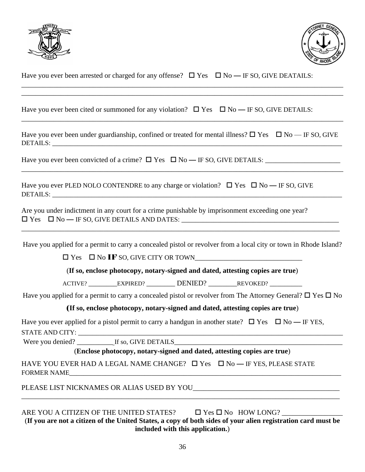



| Have you ever been arrested or charged for any offense? $\Box$ Yes $\Box$ No — IF SO, GIVE DEATAILS: |  |  |
|------------------------------------------------------------------------------------------------------|--|--|
|------------------------------------------------------------------------------------------------------|--|--|

Have you ever been cited or summoned for any violation?  $\Box$  Yes  $\Box$  No — IF SO, GIVE DETAILS:

Have you ever been under guardianship, confined or treated for mental illness?  $\Box$  Yes  $\Box$  No — IF SO, GIVE DETAILS: \_\_\_\_\_\_\_\_\_\_\_\_\_\_\_\_\_\_\_\_\_\_\_\_\_\_\_\_\_\_\_\_\_\_\_\_\_\_\_\_\_\_\_\_\_\_\_\_\_\_\_\_\_\_\_\_\_\_\_\_\_\_\_\_\_\_\_\_\_\_\_\_\_\_\_\_\_\_\_\_\_

\_\_\_\_\_\_\_\_\_\_\_\_\_\_\_\_\_\_\_\_\_\_\_\_\_\_\_\_\_\_\_\_\_\_\_\_\_\_\_\_\_\_\_\_\_\_\_\_\_\_\_\_\_\_\_\_\_\_\_\_\_\_\_\_\_\_\_\_\_\_\_\_\_\_\_\_\_\_\_\_\_\_\_\_\_\_\_\_\_\_

\_\_\_\_\_\_\_\_\_\_\_\_\_\_\_\_\_\_\_\_\_\_\_\_\_\_\_\_\_\_\_\_\_\_\_\_\_\_\_\_\_\_\_\_\_\_\_\_\_\_\_\_\_\_\_\_\_\_\_\_\_\_\_\_\_\_\_\_\_\_\_\_\_\_\_\_\_\_\_\_\_\_\_\_\_\_\_\_\_\_

\_\_\_\_\_\_\_\_\_\_\_\_\_\_\_\_\_\_\_\_\_\_\_\_\_\_\_\_\_\_\_\_\_\_\_\_\_\_\_\_\_\_\_\_\_\_\_\_\_\_\_\_\_\_\_\_\_\_\_\_\_\_\_\_\_\_\_\_\_\_\_\_\_\_\_\_\_\_\_\_\_\_\_\_\_\_\_\_\_\_ \_\_\_\_\_\_\_\_\_\_\_\_\_\_\_\_\_\_\_\_\_\_\_\_\_\_\_\_\_\_\_\_\_\_\_\_\_\_\_\_\_\_\_\_\_\_\_\_\_\_\_\_\_\_\_\_\_\_\_\_\_\_\_\_\_\_\_\_\_\_\_\_\_\_\_\_\_\_\_\_\_\_\_\_\_\_\_\_\_\_

Have you ever been convicted of a crime? Yes No — IF SO, GIVE DETAILS: \_\_\_\_\_\_\_\_\_\_\_\_\_\_\_\_\_\_\_\_\_

Have you ever PLED NOLO CONTENDRE to any charge or violation?  $\Box$  Yes  $\Box$  No — IF SO, GIVE DETAILS:

Are you under indictment in any court for a crime punishable by imprisonment exceeding one year?  $\square$  Yes  $\square$  No — IF SO, GIVE DETAILS AND DATES:

Have you applied for a permit to carry a concealed pistol or revolver from a local city or town in Rhode Island?

\_\_\_\_\_\_\_\_\_\_\_\_\_\_\_\_\_\_\_\_\_\_\_\_\_\_\_\_\_\_\_\_\_\_\_\_\_\_\_\_\_\_\_\_\_\_\_\_\_\_\_\_\_\_\_\_\_\_\_\_\_\_\_\_\_\_\_\_\_\_\_\_\_\_\_\_\_\_\_\_\_\_\_\_\_\_\_\_\_

 $\Box$  Yes  $\Box$  No IF SO, GIVE CITY OR TOWN

(**If so, enclose photocopy, notary-signed and dated, attesting copies are true**)

ACTIVE? \_\_\_\_\_\_\_\_\_\_EXPIRED? \_\_\_\_\_\_\_\_\_ DENIED? \_\_\_\_\_\_\_\_\_\_\_\_REVOKED? \_\_\_\_\_\_\_\_\_\_\_\_\_\_

Have you applied for a permit to carry a concealed pistol or revolver from The Attorney General?  $\Box$  Yes  $\Box$  No

(**If so, enclose photocopy, notary-signed and dated, attesting copies are true**)

Have you ever applied for a pistol permit to carry a handgun in another state?  $\Box$  Yes  $\Box$  No — IF YES, STATE AND CITY:

Were you denied? \_\_\_\_\_\_\_\_\_\_ If so, GIVE DETAILS\_\_\_\_\_\_\_\_\_\_\_\_\_\_\_\_\_\_\_\_\_\_\_\_\_\_\_\_\_\_\_\_\_\_\_\_\_\_\_\_\_\_\_\_\_\_\_

(**Enclose photocopy, notary-signed and dated, attesting copies are true**)

HAVE YOU EVER HAD A LEGAL NAME CHANGE?  $\Box$  Yes  $\Box$  No — IF YES, PLEASE STATE FORMER NAME

PLEASE LIST NICKNAMES OR ALIAS USED BY YOU

ARE YOU A CITIZEN OF THE UNITED STATES?  $\Box$  Yes  $\Box$  No HOW LONG?

(**If you are not a citizen of the United States, a copy of both sides of your alien registration card must be included with this application.**)

\_\_\_\_\_\_\_\_\_\_\_\_\_\_\_\_\_\_\_\_\_\_\_\_\_\_\_\_\_\_\_\_\_\_\_\_\_\_\_\_\_\_\_\_\_\_\_\_\_\_\_\_\_\_\_\_\_\_\_\_\_\_\_\_\_\_\_\_\_\_\_\_\_\_\_\_\_\_\_\_\_\_\_\_\_\_\_\_\_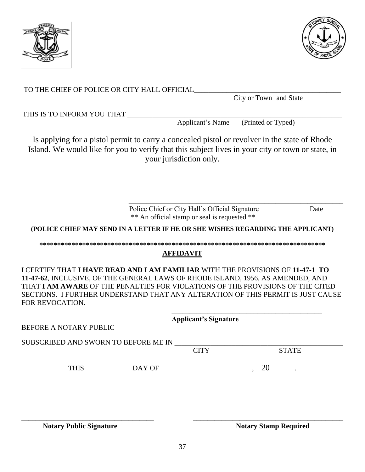

37

**\_\_\_\_\_\_\_\_\_\_\_\_\_\_\_\_\_\_\_\_\_\_\_\_\_\_\_\_\_\_\_\_\_\_\_\_\_ \_\_\_\_\_\_\_\_\_\_\_\_\_\_\_\_\_\_\_\_\_\_\_\_\_\_\_\_\_\_\_\_\_\_\_\_\_\_\_\_\_\_**

TO THE CHIEF OF POLICE OR CITY HALL OFFICIAL

City or Town and State

Applicant's Name (Printed or Typed)

\_\_\_\_\_\_\_\_\_\_\_\_\_\_\_\_\_\_\_\_\_\_\_\_\_\_\_\_\_\_\_\_\_\_\_\_\_\_\_\_\_\_\_\_\_\_\_\_\_\_\_\_\_\_\_\_\_\_\_\_

THIS IS TO INFORM YOU THAT

Is applying for a pistol permit to carry a concealed pistol or revolver in the state of Rhode Island. We would like for you to verify that this subject lives in your city or town or state, in your jurisdiction only.

> Police Chief or City Hall's Official SignatureDate \*\* An official stamp or seal is requested \*\*

**(POLICE CHIEF MAY SEND IN A LETTER IF HE OR SHE WISHES REGARDING THE APPLICANT)**

#### **\*\*\*\*\*\*\*\*\*\*\*\*\*\*\*\*\*\*\*\*\*\*\*\*\*\*\*\*\*\*\*\*\*\*\*\*\*\*\*\*\*\*\*\*\*\*\*\*\*\*\*\*\*\*\*\*\*\*\*\*\*\*\*\*\*\*\*\*\*\*\*\*\*\*\*\*\*\*\*\***

### **AFFIDAVIT**

I CERTIFY THAT **I HAVE READ AND I AM FAMILIAR** WITH THE PROVISIONS OF **11-47-1 TO 11-47-62**, INCLUSIVE, OF THE GENERAL LAWS OF RHODE ISLAND, 1956, AS AMENDED, AND THAT **I AM AWARE** OF THE PENALTIES FOR VIOLATIONS OF THE PROVISIONS OF THE CITED SECTIONS. I FURTHER UNDERSTAND THAT ANY ALTERATION OF THIS PERMIT IS JUST CAUSE FOR REVOCATION.

|                        |                                               | <b>Applicant's Signature</b> |              |
|------------------------|-----------------------------------------------|------------------------------|--------------|
| BEFORE A NOTARY PUBLIC |                                               |                              |              |
|                        | SUBSCRIBED AND SWORN TO BEFORE ME IN ________ |                              |              |
|                        |                                               | <b>CITY</b>                  | <b>STATE</b> |
| <b>THIS</b>            |                                               |                              | 20           |
|                        |                                               |                              |              |
|                        |                                               |                              |              |